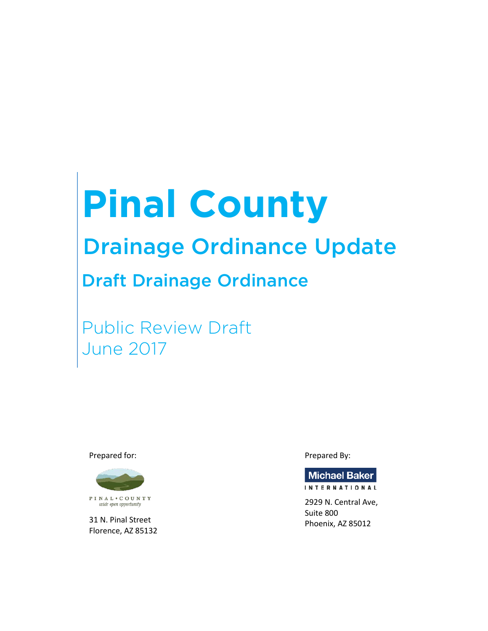# **Pinal County**

# Drainage Ordinance Update

## Draft Drainage Ordinance

Public Review Draft June 2017

Prepared for:



31 N. Pinal Street Florence, AZ 85132 Prepared By:



**INTERNATIONAL** 

2929 N. Central Ave, Suite 800 Phoenix, AZ 85012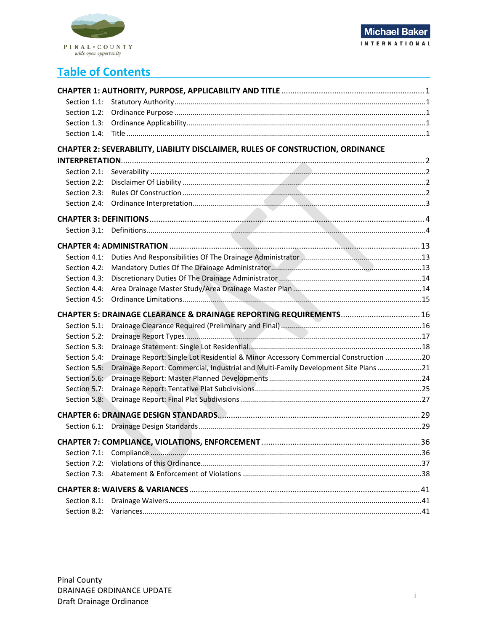

## **Table of Contents**

| Section 1.2: |                                                                                      |  |
|--------------|--------------------------------------------------------------------------------------|--|
| Section 1.3: |                                                                                      |  |
| Section 1.4: |                                                                                      |  |
|              | CHAPTER 2: SEVERABILITY, LIABILITY DISCLAIMER, RULES OF CONSTRUCTION, ORDINANCE      |  |
|              |                                                                                      |  |
|              |                                                                                      |  |
| Section 2.2: |                                                                                      |  |
| Section 2.3: |                                                                                      |  |
| Section 2.4: |                                                                                      |  |
|              |                                                                                      |  |
| Section 3.1: |                                                                                      |  |
|              |                                                                                      |  |
| Section 4.1: |                                                                                      |  |
| Section 4.2: |                                                                                      |  |
| Section 4.3: |                                                                                      |  |
| Section 4.4: |                                                                                      |  |
| Section 4.5: |                                                                                      |  |
|              | CHAPTER 5: DRAINAGE CLEARANCE & DRAINAGE REPORTING REQUIREMENTS 16                   |  |
| Section 5.1: |                                                                                      |  |
| Section 5.2: |                                                                                      |  |
| Section 5.3: |                                                                                      |  |
| Section 5.4: | Drainage Report: Single Lot Residential & Minor Accessory Commercial Construction 20 |  |
| Section 5.5: | Drainage Report: Commercial, Industrial and Multi-Family Development Site Plans 21   |  |
| Section 5.6: |                                                                                      |  |
| Section 5.7: |                                                                                      |  |
| Section 5.8: |                                                                                      |  |
|              |                                                                                      |  |
|              |                                                                                      |  |
|              |                                                                                      |  |
| Section 7.1: |                                                                                      |  |
| Section 7.2: |                                                                                      |  |
| Section 7.3: |                                                                                      |  |
|              |                                                                                      |  |
| Section 8.1: |                                                                                      |  |
| Section 8.2: |                                                                                      |  |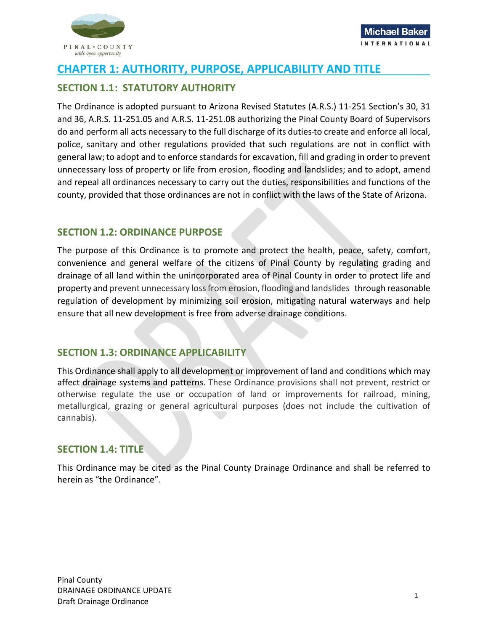

## <span id="page-2-0"></span>**CHAPTER 1: AUTHORITY, PURPOSE, APPLICABILITY AND TITLE**

## <span id="page-2-1"></span>**SECTION 1.1: STATUTORY AUTHORITY**

The Ordinance is adopted pursuant to Arizona Revised Statutes (A.R.S.) 11-251 Section's 30, 31 and 36, A.R.S. 11-251.05 and A.R.S. 11-251.08 authorizing the Pinal County Board of Supervisors do and perform all acts necessary to the full discharge of its duties to create and enforce all local, police, sanitary and other regulations provided that such regulations are not in conflict with general law; to adopt and to enforce standards for excavation, fill and grading in order to prevent unnecessary loss of property or life from erosion, flooding and landslides; and to adopt, amend and repeal all ordinances necessary to carry out the duties, responsibilities and functions of the county, provided that those ordinances are not in conflict with the laws of the State of Arizona.

## <span id="page-2-2"></span>**SECTION 1.2: ORDINANCE PURPOSE**

The purpose of this Ordinance is to promote and protect the health, peace, safety, comfort, convenience and general welfare of the citizens of Pinal County by regulating grading and drainage of all land within the unincorporated area of Pinal County in order to protect life and property and prevent unnecessary loss from erosion, flooding and landslides through reasonable regulation of development by minimizing soil erosion, mitigating natural waterways and help ensure that all new development is free from adverse drainage conditions.

## <span id="page-2-3"></span>**SECTION 1.3: ORDINANCE APPLICABILITY**

This Ordinance shall apply to all development or improvement of land and conditions which may affect drainage systems and patterns. These Ordinance provisions shall not prevent, restrict or otherwise regulate the use or occupation of land or improvements for railroad, mining, metallurgical, grazing or general agricultural purposes (does not include the cultivation of cannabis).

## <span id="page-2-4"></span>**SECTION 1.4: TITLE**

This Ordinance may be cited as the Pinal County Drainage Ordinance and shall be referred to herein as "the Ordinance".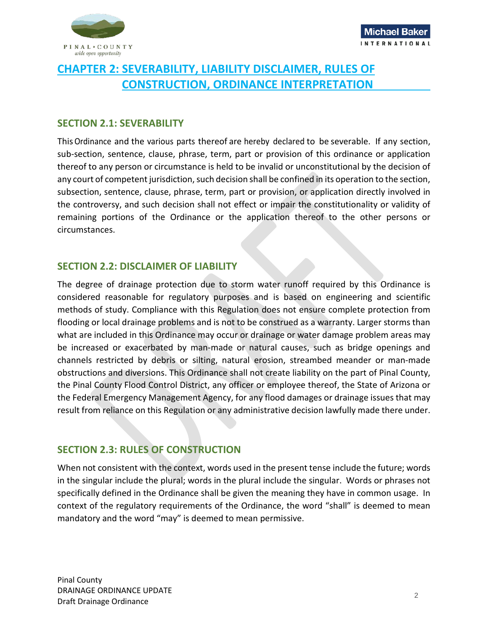

## <span id="page-3-0"></span>**CHAPTER 2: SEVERABILITY, LIABILITY DISCLAIMER, RULES OF CONSTRUCTION, ORDINANCE INTERPRETATION**

## <span id="page-3-1"></span>**SECTION 2.1: SEVERABILITY**

ThisOrdinance and the various parts thereof are hereby declared to be severable. If any section, sub-section, sentence, clause, phrase, term, part or provision of this ordinance or application thereof to any person or circumstance is held to be invalid or unconstitutional by the decision of any court of competent jurisdiction, such decision shall be confined in its operation to the section, subsection, sentence, clause, phrase, term, part or provision, or application directly involved in the controversy, and such decision shall not effect or impair the constitutionality or validity of remaining portions of the Ordinance or the application thereof to the other persons or circumstances.

## <span id="page-3-2"></span>**SECTION 2.2: DISCLAIMER OF LIABILITY**

The degree of drainage protection due to storm water runoff required by this Ordinance is considered reasonable for regulatory purposes and is based on engineering and scientific methods of study. Compliance with this Regulation does not ensure complete protection from flooding or local drainage problems and is not to be construed as a warranty. Larger storms than what are included in this Ordinance may occur or drainage or water damage problem areas may be increased or exacerbated by man-made or natural causes, such as bridge openings and channels restricted by debris or silting, natural erosion, streambed meander or man-made obstructions and diversions. This Ordinance shall not create liability on the part of Pinal County, the Pinal County Flood Control District, any officer or employee thereof, the State of Arizona or the Federal Emergency Management Agency, for any flood damages or drainage issues that may result from reliance on this Regulation or any administrative decision lawfully made there under.

## <span id="page-3-3"></span>**SECTION 2.3: RULES OF CONSTRUCTION**

When not consistent with the context, words used in the present tense include the future; words in the singular include the plural; words in the plural include the singular. Words or phrases not specifically defined in the Ordinance shall be given the meaning they have in common usage. In context of the regulatory requirements of the Ordinance, the word "shall" is deemed to mean mandatory and the word "may" is deemed to mean permissive.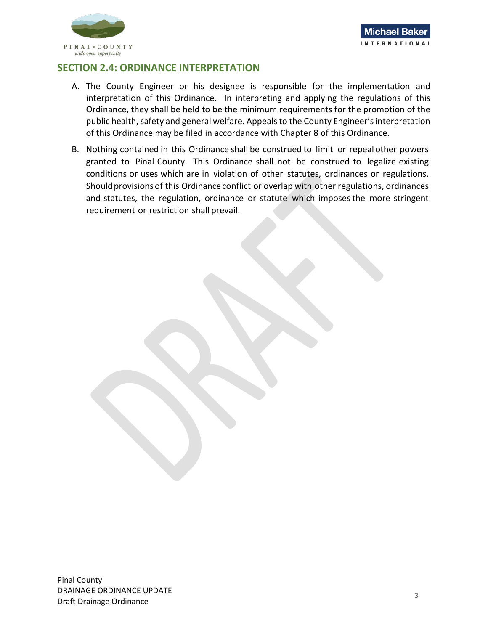

## <span id="page-4-0"></span>**SECTION 2.4: ORDINANCE INTERPRETATION**

- A. The County Engineer or his designee is responsible for the implementation and interpretation of this Ordinance. In interpreting and applying the regulations of this Ordinance, they shall be held to be the minimum requirements for the promotion of the public health, safety and general welfare. Appeals to the County Engineer's interpretation of this Ordinance may be filed in accordance with Chapter 8 of this Ordinance.
- B. Nothing contained in this Ordinance shall be construed to limit or repeal other powers granted to Pinal County. This Ordinance shall not be construed to legalize existing conditions or uses which are in violation of other statutes, ordinances or regulations. Should provisions of this Ordinance conflict or overlap with other regulations, ordinances and statutes, the regulation, ordinance or statute which imposesthe more stringent requirement or restriction shall prevail.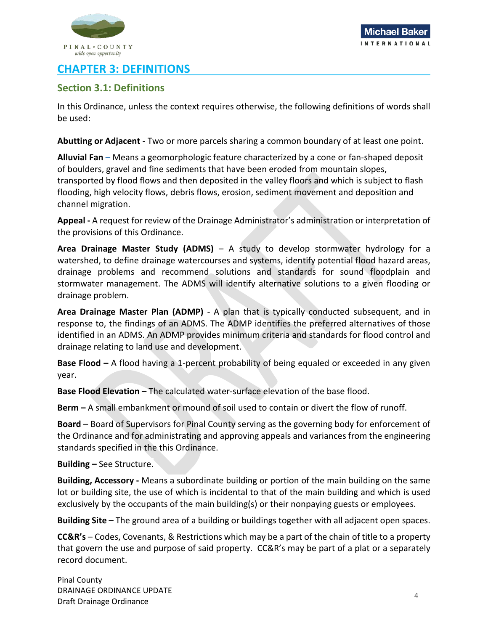

## <span id="page-5-0"></span>**CHAPTER 3: DEFINITIONS**

## <span id="page-5-1"></span>**Section 3.1: Definitions**

In this Ordinance, unless the context requires otherwise, the following definitions of words shall be used:

**Abutting or Adjacent** - Two or more parcels sharing a common boundary of at least one point.

**Alluvial Fan** – Means a geomorphologic feature characterized by a cone or fan-shaped deposit of boulders, gravel and fine sediments that have been eroded from mountain slopes, transported by flood flows and then deposited in the valley floors and which is subject to flash flooding, high velocity flows, debris flows, erosion, sediment movement and deposition and channel migration.

**Appeal -** A request for review of the Drainage Administrator's administration or interpretation of the provisions of this Ordinance.

**Area Drainage Master Study (ADMS)** – A study to develop stormwater hydrology for a watershed, to define drainage watercourses and systems, identify potential flood hazard areas, drainage problems and recommend solutions and standards for sound floodplain and stormwater management. The ADMS will identify alternative solutions to a given flooding or drainage problem.

**Area Drainage Master Plan (ADMP)** - A plan that is typically conducted subsequent, and in response to, the findings of an ADMS. The ADMP identifies the preferred alternatives of those identified in an ADMS. An ADMP provides minimum criteria and standards for flood control and drainage relating to land use and development.

**Base Flood –** A flood having a 1-percent probability of being equaled or exceeded in any given year.

**Base Flood Elevation – The calculated water-surface elevation of the base flood.** 

**Berm –** A small embankment or mound of soil used to contain or divert the flow of runoff.

**Board** – Board of Supervisors for Pinal County serving as the governing body for enforcement of the Ordinance and for administrating and approving appeals and variances from the engineering standards specified in the this Ordinance.

**Building –** See Structure.

**Building, Accessory -** Means a subordinate building or portion of the main building on the same lot or building site, the use of which is incidental to that of the main building and which is used exclusively by the occupants of the main building(s) or their nonpaying guests or employees.

**Building Site –** The ground area of a building or buildings together with all adjacent open spaces.

**CC&R's** – Codes, Covenants, & Restrictions which may be a part of the chain of title to a property that govern the use and purpose of said property. CC&R's may be part of a plat or a separately record document.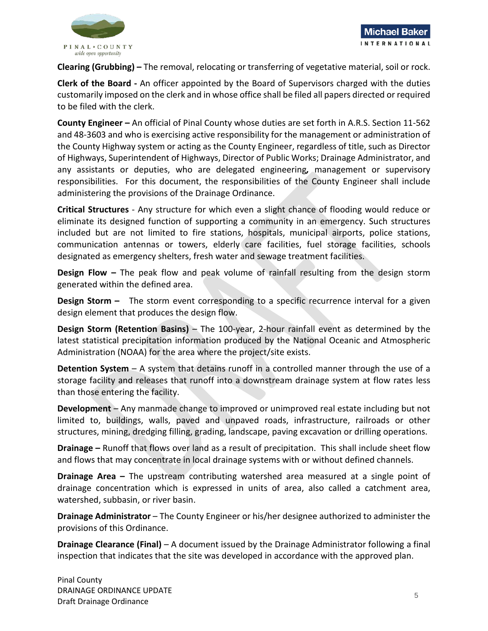

**Clearing (Grubbing) –** The removal, relocating or transferring of vegetative material, soil or rock.

**Clerk of the Board -** An officer appointed by the Board of Supervisors charged with the duties customarily imposed on the clerk and in whose office shall be filed all papers directed or required to be filed with the clerk.

**County Engineer –** An official of Pinal County whose duties are set forth in A.R.S. Section 11-562 and 48-3603 and who is exercising active responsibility for the management or administration of the County Highway system or acting as the County Engineer, regardless of title, such as Director of Highways, Superintendent of Highways, Director of Public Works; Drainage Administrator, and any assistants or deputies, who are delegated engineering*,* management or supervisory responsibilities. For this document, the responsibilities of the County Engineer shall include administering the provisions of the Drainage Ordinance.

**Critical Structures** - Any structure for which even a slight chance of flooding would reduce or eliminate its designed function of supporting a community in an emergency. Such structures included but are not limited to fire stations, hospitals, municipal airports, police stations, communication antennas or towers, elderly care facilities, fuel storage facilities, schools designated as emergency shelters, fresh water and sewage treatment facilities.

**Design Flow –** The peak flow and peak volume of rainfall resulting from the design storm generated within the defined area.

**Design Storm –** The storm event corresponding to a specific recurrence interval for a given design element that produces the design flow.

**Design Storm (Retention Basins)** – The 100-year, 2-hour rainfall event as determined by the latest statistical precipitation information produced by the National Oceanic and Atmospheric Administration (NOAA) for the area where the project/site exists.

**Detention System** – A system that detains runoff in a controlled manner through the use of a storage facility and releases that runoff into a downstream drainage system at flow rates less than those entering the facility.

**Development** – Any manmade change to improved or unimproved real estate including but not limited to, buildings, walls, paved and unpaved roads, infrastructure, railroads or other structures, mining, dredging filling, grading, landscape, paving excavation or drilling operations.

**Drainage –** Runoff that flows over land as a result of precipitation. This shall include sheet flow and flows that may concentrate in local drainage systems with or without defined channels.

**Drainage Area –** The upstream contributing watershed area measured at a single point of drainage concentration which is expressed in units of area, also called a catchment area, watershed, subbasin, or river basin.

**Drainage Administrator** – The County Engineer or his/her designee authorized to administer the provisions of this Ordinance.

**Drainage Clearance (Final)** – A document issued by the Drainage Administrator following a final inspection that indicates that the site was developed in accordance with the approved plan.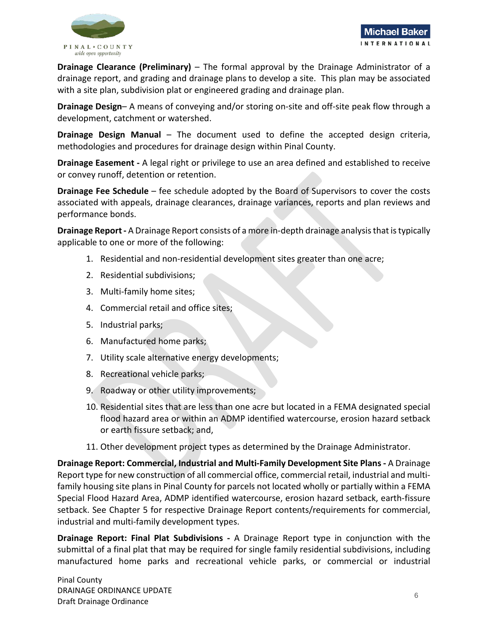

**Drainage Clearance (Preliminary)** – The formal approval by the Drainage Administrator of a drainage report, and grading and drainage plans to develop a site. This plan may be associated with a site plan, subdivision plat or engineered grading and drainage plan.

**Drainage Design**– A means of conveying and/or storing on-site and off-site peak flow through a development, catchment or watershed.

**Drainage Design Manual** – The document used to define the accepted design criteria, methodologies and procedures for drainage design within Pinal County.

**Drainage Easement -** A legal right or privilege to use an area defined and established to receive or convey runoff, detention or retention.

**Drainage Fee Schedule** – fee schedule adopted by the Board of Supervisors to cover the costs associated with appeals, drainage clearances, drainage variances, reports and plan reviews and performance bonds.

**Drainage Report -** A Drainage Report consists of a more in-depth drainage analysis that is typically applicable to one or more of the following:

- 1. Residential and non-residential development sites greater than one acre;
- 2. Residential subdivisions;
- 3. Multi-family home sites;
- 4. Commercial retail and office sites;
- 5. Industrial parks;
- 6. Manufactured home parks;
- 7. Utility scale alternative energy developments;
- 8. Recreational vehicle parks;
- 9. Roadway or other utility improvements;
- 10. Residential sites that are less than one acre but located in a FEMA designated special flood hazard area or within an ADMP identified watercourse, erosion hazard setback or earth fissure setback; and,
- 11. Other development project types as determined by the Drainage Administrator.

**Drainage Report: Commercial, Industrial and Multi-Family Development Site Plans -** A Drainage Report type for new construction of all commercial office, commercial retail, industrial and multifamily housing site plans in Pinal County for parcels not located wholly or partially within a FEMA Special Flood Hazard Area, ADMP identified watercourse, erosion hazard setback, earth-fissure setback. See Chapter 5 for respective Drainage Report contents/requirements for commercial, industrial and multi-family development types.

**Drainage Report: Final Plat Subdivisions -** A Drainage Report type in conjunction with the submittal of a final plat that may be required for single family residential subdivisions, including manufactured home parks and recreational vehicle parks, or commercial or industrial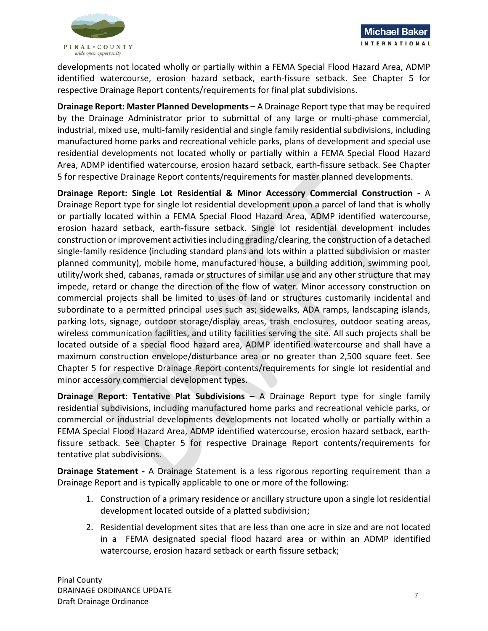

developments not located wholly or partially within a FEMA Special Flood Hazard Area, ADMP identified watercourse, erosion hazard setback, earth-fissure setback. See Chapter 5 for respective Drainage Report contents/requirements for final plat subdivisions.

**Drainage Report: Master Planned Developments –** A Drainage Report type that may be required by the Drainage Administrator prior to submittal of any large or multi-phase commercial, industrial, mixed use, multi-family residential and single family residential subdivisions, including manufactured home parks and recreational vehicle parks, plans of development and special use residential developments not located wholly or partially within a FEMA Special Flood Hazard Area, ADMP identified watercourse, erosion hazard setback, earth-fissure setback. See Chapter 5 for respective Drainage Report contents/requirements for master planned developments.

**Drainage Report: Single Lot Residential & Minor Accessory Commercial Construction -** A Drainage Report type for single lot residential development upon a parcel of land that is wholly or partially located within a FEMA Special Flood Hazard Area, ADMP identified watercourse, erosion hazard setback, earth-fissure setback. Single lot residential development includes construction or improvement activities including grading/clearing, the construction of a detached single-family residence (including standard plans and lots within a platted subdivision or master planned community), mobile home, manufactured house, a building addition, swimming pool, utility/work shed, cabanas, ramada or structures of similar use and any other structure that may impede, retard or change the direction of the flow of water. Minor accessory construction on commercial projects shall be limited to uses of land or structures customarily incidental and subordinate to a permitted principal uses such as; sidewalks, ADA ramps, landscaping islands, parking lots, signage, outdoor storage/display areas, trash enclosures, outdoor seating areas, wireless communication facilities, and utility facilities serving the site. All such projects shall be located outside of a special flood hazard area, ADMP identified watercourse and shall have a maximum construction envelope/disturbance area or no greater than 2,500 square feet. See Chapter 5 for respective Drainage Report contents/requirements for single lot residential and minor accessory commercial development types.

**Drainage Report: Tentative Plat Subdivisions –** A Drainage Report type for single family residential subdivisions, including manufactured home parks and recreational vehicle parks, or commercial or industrial developments developments not located wholly or partially within a FEMA Special Flood Hazard Area, ADMP identified watercourse, erosion hazard setback, earthfissure setback. See Chapter 5 for respective Drainage Report contents/requirements for tentative plat subdivisions.

**Drainage Statement -** A Drainage Statement is a less rigorous reporting requirement than a Drainage Report and is typically applicable to one or more of the following:

- 1. Construction of a primary residence or ancillary structure upon a single lot residential development located outside of a platted subdivision;
- 2. Residential development sites that are less than one acre in size and are not located in a FEMA designated special flood hazard area or within an ADMP identified watercourse, erosion hazard setback or earth fissure setback;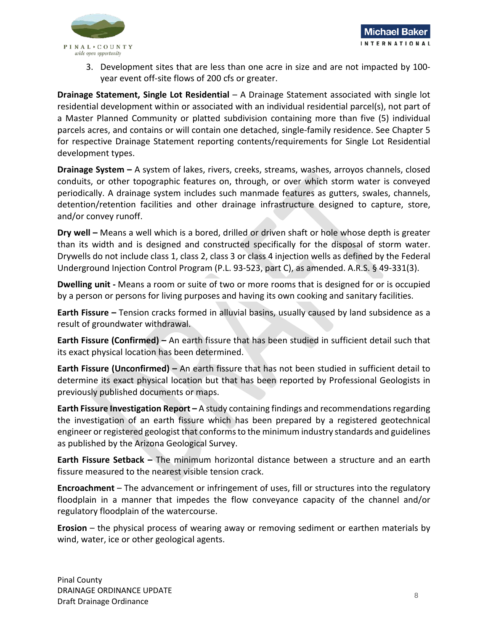

3. Development sites that are less than one acre in size and are not impacted by 100 year event off-site flows of 200 cfs or greater.

**Drainage Statement, Single Lot Residential** – A Drainage Statement associated with single lot residential development within or associated with an individual residential parcel(s), not part of a Master Planned Community or platted subdivision containing more than five (5) individual parcels acres, and contains or will contain one detached, single-family residence. See Chapter 5 for respective Drainage Statement reporting contents/requirements for Single Lot Residential development types.

**Drainage System –** A system of lakes, rivers, creeks, streams, washes, arroyos channels, closed conduits, or other topographic features on, through, or over which storm water is conveyed periodically. A drainage system includes such manmade features as gutters, swales, channels, detention/retention facilities and other drainage infrastructure designed to capture, store, and/or convey runoff.

**Dry well –** Means a well which is a bored, drilled or driven shaft or hole whose depth is greater than its width and is designed and constructed specifically for the disposal of storm water. Drywells do not include class 1, class 2, class 3 or class 4 injection wells as defined by the Federal Underground Injection Control Program (P.L. 93-523, part C), as amended. A.R.S. § 49-331(3).

**Dwelling unit -** Means a room or suite of two or more rooms that is designed for or is occupied by a person or persons for living purposes and having its own cooking and sanitary facilities.

**Earth Fissure –** Tension cracks formed in alluvial basins, usually caused by land subsidence as a result of groundwater withdrawal.

**Earth Fissure (Confirmed) –** An earth fissure that has been studied in sufficient detail such that its exact physical location has been determined.

**Earth Fissure (Unconfirmed) –** An earth fissure that has not been studied in sufficient detail to determine its exact physical location but that has been reported by Professional Geologists in previously published documents or maps.

**Earth Fissure Investigation Report –** A study containing findings and recommendations regarding the investigation of an earth fissure which has been prepared by a registered geotechnical engineer or registered geologist that conforms to the minimum industry standards and guidelines as published by the Arizona Geological Survey.

**Earth Fissure Setback –** The minimum horizontal distance between a structure and an earth fissure measured to the nearest visible tension crack.

**Encroachment** – The advancement or infringement of uses, fill or structures into the regulatory floodplain in a manner that impedes the flow conveyance capacity of the channel and/or regulatory floodplain of the watercourse.

**Erosion** – the physical process of wearing away or removing sediment or earthen materials by wind, water, ice or other geological agents.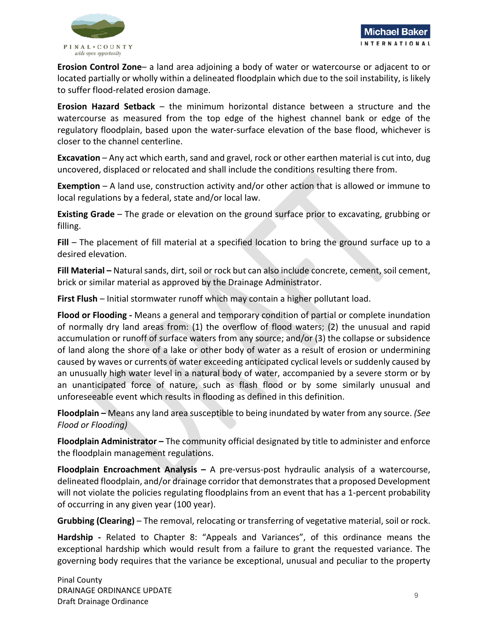

**Erosion Control Zone**– a land area adjoining a body of water or watercourse or adjacent to or located partially or wholly within a delineated floodplain which due to the soil instability, is likely to suffer flood-related erosion damage.

**Erosion Hazard Setback** – the minimum horizontal distance between a structure and the watercourse as measured from the top edge of the highest channel bank or edge of the regulatory floodplain, based upon the water-surface elevation of the base flood, whichever is closer to the channel centerline.

**Excavation** – Any act which earth, sand and gravel, rock or other earthen material is cut into, dug uncovered, displaced or relocated and shall include the conditions resulting there from.

**Exemption** – A land use, construction activity and/or other action that is allowed or immune to local regulations by a federal, state and/or local law.

**Existing Grade** – The grade or elevation on the ground surface prior to excavating, grubbing or filling.

Fill – The placement of fill material at a specified location to bring the ground surface up to a desired elevation.

**Fill Material –** Natural sands, dirt, soil or rock but can also include concrete, cement, soil cement, brick or similar material as approved by the Drainage Administrator.

**First Flush** – Initial stormwater runoff which may contain a higher pollutant load.

**Flood or Flooding -** Means a general and temporary condition of partial or complete inundation of normally dry land areas from: (1) the overflow of flood waters; (2) the unusual and rapid accumulation or runoff of surface waters from any source; and/or (3) the collapse or subsidence of land along the shore of a lake or other body of water as a result of erosion or undermining caused by waves or currents of water exceeding anticipated cyclical levels or suddenly caused by an unusually high water level in a natural body of water, accompanied by a severe storm or by an unanticipated force of nature, such as flash flood or by some similarly unusual and unforeseeable event which results in flooding as defined in this definition.

**Floodplain –** Means any land area susceptible to being inundated by water from any source. *(See Flood or Flooding)*

**Floodplain Administrator –** The community official designated by title to administer and enforce the floodplain management regulations.

**Floodplain Encroachment Analysis –** A pre-versus-post hydraulic analysis of a watercourse, delineated floodplain, and/or drainage corridor that demonstrates that a proposed Development will not violate the policies regulating floodplains from an event that has a 1-percent probability of occurring in any given year (100 year).

**Grubbing (Clearing)** – The removal, relocating or transferring of vegetative material, soil or rock.

**Hardship -** Related to Chapter 8: "Appeals and Variances", of this ordinance means the exceptional hardship which would result from a failure to grant the requested variance. The governing body requires that the variance be exceptional, unusual and peculiar to the property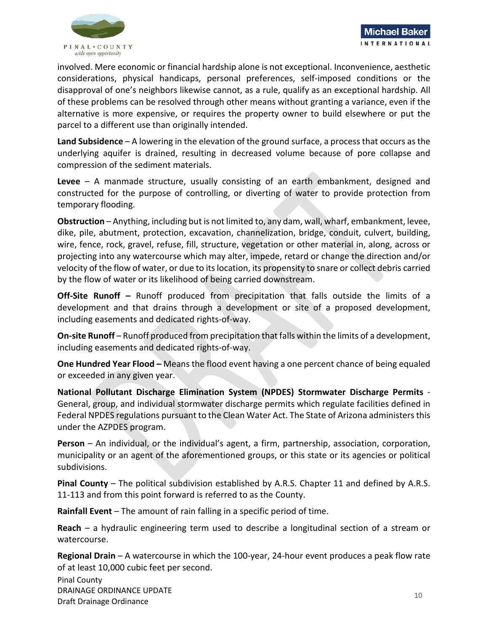

involved. Mere economic or financial hardship alone is not exceptional. Inconvenience, aesthetic considerations, physical handicaps, personal preferences, self-imposed conditions or the disapproval of one's neighbors likewise cannot, as a rule, qualify as an exceptional hardship. All of these problems can be resolved through other means without granting a variance, even if the alternative is more expensive, or requires the property owner to build elsewhere or put the parcel to a different use than originally intended.

**Land Subsidence** – A lowering in the elevation of the ground surface, a process that occurs as the underlying aquifer is drained, resulting in decreased volume because of pore collapse and compression of the sediment materials.

**Levee** – A manmade structure, usually consisting of an earth embankment, designed and constructed for the purpose of controlling, or diverting of water to provide protection from temporary flooding.

**Obstruction** – Anything, including but is not limited to, any dam, wall, wharf, embankment, levee, dike, pile, abutment, protection, excavation, channelization, bridge, conduit, culvert, building, wire, fence, rock, gravel, refuse, fill, structure, vegetation or other material in, along, across or projecting into any watercourse which may alter, impede, retard or change the direction and/or velocity of the flow of water, or due to its location, its propensity to snare or collect debris carried by the flow of water or its likelihood of being carried downstream.

**Off-Site Runoff –** Runoff produced from precipitation that falls outside the limits of a development and that drains through a development or site of a proposed development, including easements and dedicated rights-of-way.

**On-site Runoff** – Runoff produced from precipitation that falls within the limits of a development, including easements and dedicated rights-of-way.

**One Hundred Year Flood –** Means the flood event having a one percent chance of being equaled or exceeded in any given year.

**National Pollutant Discharge Elimination System (NPDES) Stormwater Discharge Permits** - General, group, and individual stormwater discharge permits which regulate facilities defined in Federal NPDES regulations pursuant to the Clean Water Act. The State of Arizona administers this under the AZPDES program.

**Person** – An individual, or the individual's agent, a firm, partnership, association, corporation, municipality or an agent of the aforementioned groups, or this state or its agencies or political subdivisions.

**Pinal County** – The political subdivision established by A.R.S. Chapter 11 and defined by A.R.S. 11-113 and from this point forward is referred to as the County.

**Rainfall Event** – The amount of rain falling in a specific period of time.

**Reach** – a hydraulic engineering term used to describe a longitudinal section of a stream or watercourse.

**Regional Drain** – A watercourse in which the 100-year, 24-hour event produces a peak flow rate of at least 10,000 cubic feet per second.

Pinal County DRAINAGE ORDINANCE UPDATE DINANCE ORDINANCE OF DATE AND THE SERVER OF DATE AND THE SERVER OF DATE AND THE SERVER OF DATE AND THE SERVER O<br>Draft Drainage Ordinance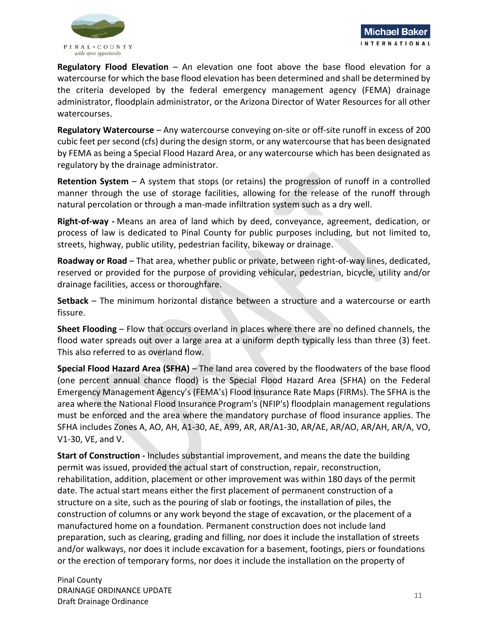

**Regulatory Flood Elevation** – An elevation one foot above the base flood elevation for a watercourse for which the base flood elevation has been determined and shall be determined by the criteria developed by the federal emergency management agency (FEMA) drainage administrator, floodplain administrator, or the Arizona Director of Water Resources for all other watercourses.

**Regulatory Watercourse** – Any watercourse conveying on-site or off-site runoff in excess of 200 cubic feet per second (cfs) during the design storm, or any watercourse that has been designated by FEMA as being a Special Flood Hazard Area, or any watercourse which has been designated as regulatory by the drainage administrator.

**Retention System** – A system that stops (or retains) the progression of runoff in a controlled manner through the use of storage facilities, allowing for the release of the runoff through natural percolation or through a man-made infiltration system such as a dry well.

**Right-of-way -** Means an area of land which by deed, conveyance, agreement, dedication, or process of law is dedicated to Pinal County for public purposes including, but not limited to, streets, highway, public utility, pedestrian facility, bikeway or drainage.

**Roadway or Road** – That area, whether public or private, between right-of-way lines, dedicated, reserved or provided for the purpose of providing vehicular, pedestrian, bicycle, utility and/or drainage facilities, access or thoroughfare.

**Setback** – The minimum horizontal distance between a structure and a watercourse or earth fissure.

**Sheet Flooding** – Flow that occurs overland in places where there are no defined channels, the flood water spreads out over a large area at a uniform depth typically less than three (3) feet. This also referred to as overland flow.

**Special Flood Hazard Area (SFHA)** – The land area covered by the floodwaters of the base flood (one percent annual chance flood) is the Special Flood Hazard Area (SFHA) on the Federal Emergency Management Agency's (FEMA's) Flood Insurance Rate Maps (FIRMs). The SFHA is the area where the National Flood Insurance Program's (NFIP's) floodplain management regulations must be enforced and the area where the mandatory purchase of flood insurance applies. The SFHA includes Zones A, AO, AH, A1-30, AE, A99, AR, AR/A1-30, AR/AE, AR/AO, AR/AH, AR/A, VO, V1-30, VE, and V.

**Start of Construction -** Includes substantial improvement, and means the date the building permit was issued, provided the actual start of construction, repair, reconstruction, rehabilitation, addition, placement or other improvement was within 180 days of the permit date. The actual start means either the first placement of permanent construction of a structure on a site, such as the pouring of slab or footings, the installation of piles, the construction of columns or any work beyond the stage of excavation, or the placement of a manufactured home on a foundation. Permanent construction does not include land preparation, such as clearing, grading and filling, nor does it include the installation of streets and/or walkways, nor does it include excavation for a basement, footings, piers or foundations or the erection of temporary forms, nor does it include the installation on the property of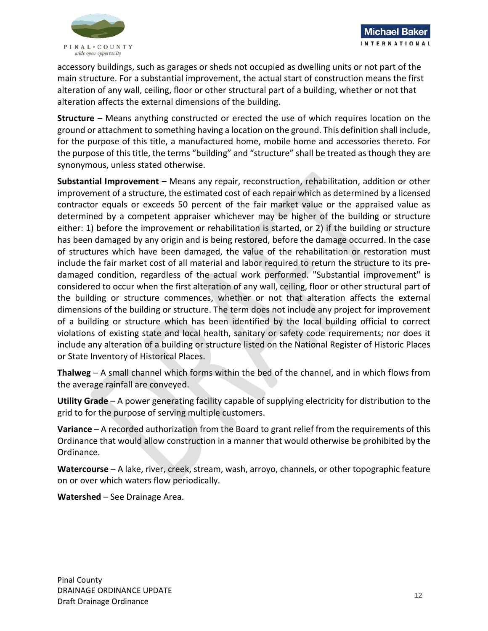

accessory buildings, such as garages or sheds not occupied as dwelling units or not part of the main structure. For a substantial improvement, the actual start of construction means the first alteration of any wall, ceiling, floor or other structural part of a building, whether or not that alteration affects the external dimensions of the building.

**Structure** – Means anything constructed or erected the use of which requires location on the ground or attachment to something having a location on the ground. This definition shall include, for the purpose of this title, a manufactured home, mobile home and accessories thereto. For the purpose of this title, the terms "building" and "structure" shall be treated as though they are synonymous, unless stated otherwise.

**Substantial Improvement** – Means any repair, reconstruction, rehabilitation, addition or other improvement of a structure, the estimated cost of each repair which as determined by a licensed contractor equals or exceeds 50 percent of the fair market value or the appraised value as determined by a competent appraiser whichever may be higher of the building or structure either: 1) before the improvement or rehabilitation is started, or 2) if the building or structure has been damaged by any origin and is being restored, before the damage occurred. In the case of structures which have been damaged, the value of the rehabilitation or restoration must include the fair market cost of all material and labor required to return the structure to its predamaged condition, regardless of the actual work performed. "Substantial improvement" is considered to occur when the first alteration of any wall, ceiling, floor or other structural part of the building or structure commences, whether or not that alteration affects the external dimensions of the building or structure. The term does not include any project for improvement of a building or structure which has been identified by the local building official to correct violations of existing state and local health, sanitary or safety code requirements; nor does it include any alteration of a building or structure listed on the National Register of Historic Places or State Inventory of Historical Places.

**Thalweg** – A small channel which forms within the bed of the channel, and in which flows from the average rainfall are conveyed.

**Utility Grade** – A power generating facility capable of supplying electricity for distribution to the grid to for the purpose of serving multiple customers.

**Variance** – A recorded authorization from the Board to grant relief from the requirements of this Ordinance that would allow construction in a manner that would otherwise be prohibited by the Ordinance.

**Watercourse** – A lake, river, creek, stream, wash, arroyo, channels, or other topographic feature on or over which waters flow periodically.

**Watershed** – See Drainage Area.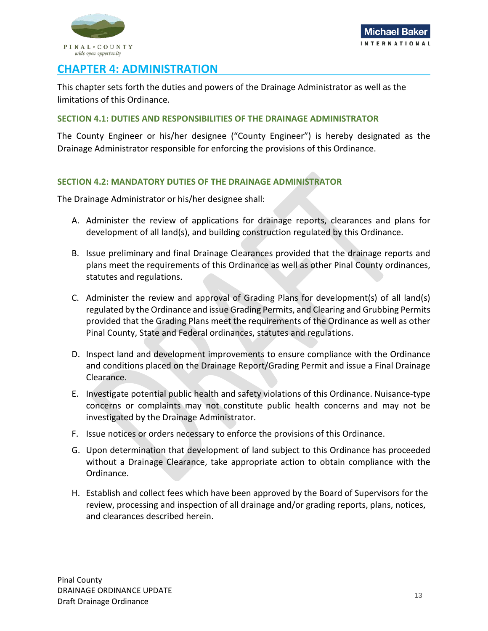

## <span id="page-14-0"></span>**CHAPTER 4: ADMINISTRATION**

This chapter sets forth the duties and powers of the Drainage Administrator as well as the limitations of this Ordinance.

#### <span id="page-14-1"></span>**SECTION 4.1: DUTIES AND RESPONSIBILITIES OF THE DRAINAGE ADMINISTRATOR**

The County Engineer or his/her designee ("County Engineer") is hereby designated as the Drainage Administrator responsible for enforcing the provisions of this Ordinance.

## <span id="page-14-2"></span>**SECTION 4.2: MANDATORY DUTIES OF THE DRAINAGE ADMINISTRATOR**

The Drainage Administrator or his/her designee shall:

- A. Administer the review of applications for drainage reports, clearances and plans for development of all land(s), and building construction regulated by this Ordinance.
- B. Issue preliminary and final Drainage Clearances provided that the drainage reports and plans meet the requirements of this Ordinance as well as other Pinal County ordinances, statutes and regulations.
- C. Administer the review and approval of Grading Plans for development(s) of all land(s) regulated by the Ordinance and issue Grading Permits, and Clearing and Grubbing Permits provided that the Grading Plans meet the requirements of the Ordinance as well as other Pinal County, State and Federal ordinances, statutes and regulations.
- D. Inspect land and development improvements to ensure compliance with the Ordinance and conditions placed on the Drainage Report/Grading Permit and issue a Final Drainage Clearance.
- E. Investigate potential public health and safety violations of this Ordinance. Nuisance-type concerns or complaints may not constitute public health concerns and may not be investigated by the Drainage Administrator.
- F. Issue notices or orders necessary to enforce the provisions of this Ordinance.
- G. Upon determination that development of land subject to this Ordinance has proceeded without a Drainage Clearance, take appropriate action to obtain compliance with the Ordinance.
- H. Establish and collect fees which have been approved by the Board of Supervisors for the review, processing and inspection of all drainage and/or grading reports, plans, notices, and clearances described herein.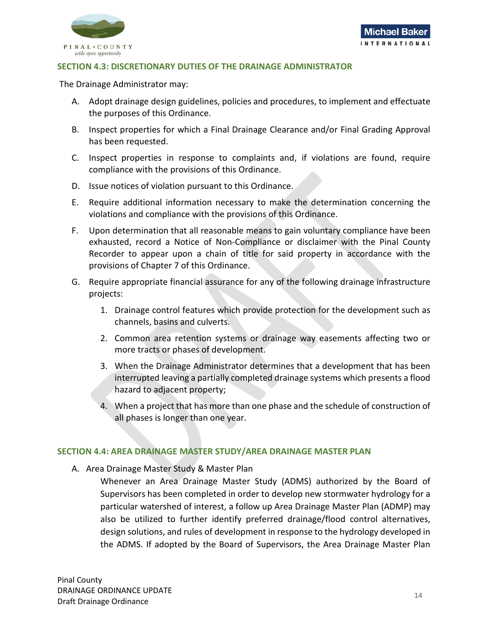

#### <span id="page-15-0"></span>**SECTION 4.3: DISCRETIONARY DUTIES OF THE DRAINAGE ADMINISTRATOR**

The Drainage Administrator may:

- A. Adopt drainage design guidelines, policies and procedures, to implement and effectuate the purposes of this Ordinance.
- B. Inspect properties for which a Final Drainage Clearance and/or Final Grading Approval has been requested.
- C. Inspect properties in response to complaints and, if violations are found, require compliance with the provisions of this Ordinance.
- D. Issue notices of violation pursuant to this Ordinance.
- E. Require additional information necessary to make the determination concerning the violations and compliance with the provisions of this Ordinance.
- F. Upon determination that all reasonable means to gain voluntary compliance have been exhausted, record a Notice of Non-Compliance or disclaimer with the Pinal County Recorder to appear upon a chain of title for said property in accordance with the provisions of Chapter 7 of this Ordinance.
- G. Require appropriate financial assurance for any of the following drainage infrastructure projects:
	- 1. Drainage control features which provide protection for the development such as channels, basins and culverts.
	- 2. Common area retention systems or drainage way easements affecting two or more tracts or phases of development.
	- 3. When the Drainage Administrator determines that a development that has been interrupted leaving a partially completed drainage systems which presents a flood hazard to adjacent property;
	- 4. When a project that has more than one phase and the schedule of construction of all phases is longer than one year.

#### <span id="page-15-1"></span>**SECTION 4.4: AREA DRAINAGE MASTER STUDY/AREA DRAINAGE MASTER PLAN**

- A. Area Drainage Master Study & Master Plan
	- Whenever an Area Drainage Master Study (ADMS) authorized by the Board of Supervisors has been completed in order to develop new stormwater hydrology for a particular watershed of interest, a follow up Area Drainage Master Plan (ADMP) may also be utilized to further identify preferred drainage/flood control alternatives, design solutions, and rules of development in response to the hydrology developed in the ADMS. If adopted by the Board of Supervisors, the Area Drainage Master Plan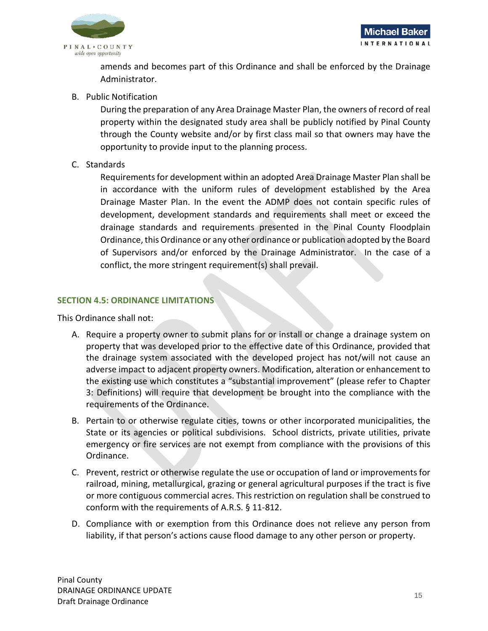

amends and becomes part of this Ordinance and shall be enforced by the Drainage Administrator.

B. Public Notification

During the preparation of any Area Drainage Master Plan, the owners of record of real property within the designated study area shall be publicly notified by Pinal County through the County website and/or by first class mail so that owners may have the opportunity to provide input to the planning process.

C. Standards

Requirements for development within an adopted Area Drainage Master Plan shall be in accordance with the uniform rules of development established by the Area Drainage Master Plan. In the event the ADMP does not contain specific rules of development, development standards and requirements shall meet or exceed the drainage standards and requirements presented in the Pinal County Floodplain Ordinance, this Ordinance or any other ordinance or publication adopted by the Board of Supervisors and/or enforced by the Drainage Administrator. In the case of a conflict, the more stringent requirement(s) shall prevail.

## <span id="page-16-0"></span>**SECTION 4.5: ORDINANCE LIMITATIONS**

This Ordinance shall not:

- A. Require a property owner to submit plans for or install or change a drainage system on property that was developed prior to the effective date of this Ordinance, provided that the drainage system associated with the developed project has not/will not cause an adverse impact to adjacent property owners. Modification, alteration or enhancement to the existing use which constitutes a "substantial improvement" (please refer to Chapter 3: Definitions) will require that development be brought into the compliance with the requirements of the Ordinance.
- B. Pertain to or otherwise regulate cities, towns or other incorporated municipalities, the State or its agencies or political subdivisions. School districts, private utilities, private emergency or fire services are not exempt from compliance with the provisions of this Ordinance.
- C. Prevent, restrict or otherwise regulate the use or occupation of land or improvements for railroad, mining, metallurgical, grazing or general agricultural purposes if the tract is five or more contiguous commercial acres. This restriction on regulation shall be construed to conform with the requirements of A.R.S. § 11-812.
- D. Compliance with or exemption from this Ordinance does not relieve any person from liability, if that person's actions cause flood damage to any other person or property.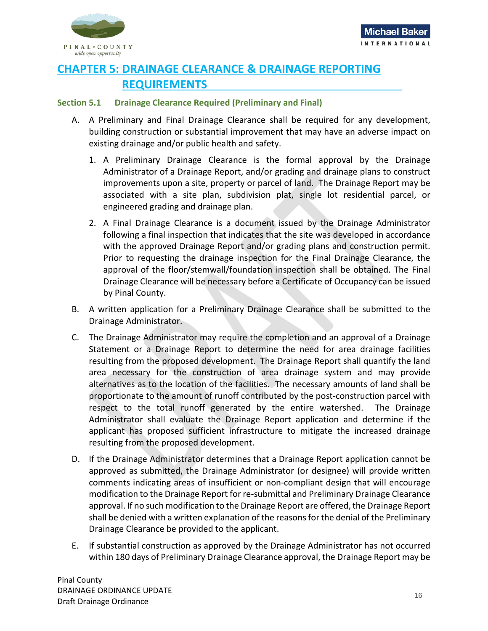

## <span id="page-17-0"></span>**CHAPTER 5: DRAINAGE CLEARANCE & DRAINAGE REPORTING REQUIREMENTS**

## <span id="page-17-1"></span>**Section 5.1 Drainage Clearance Required (Preliminary and Final)**

- A. A Preliminary and Final Drainage Clearance shall be required for any development, building construction or substantial improvement that may have an adverse impact on existing drainage and/or public health and safety.
	- 1. A Preliminary Drainage Clearance is the formal approval by the Drainage Administrator of a Drainage Report, and/or grading and drainage plans to construct improvements upon a site, property or parcel of land. The Drainage Report may be associated with a site plan, subdivision plat, single lot residential parcel, or engineered grading and drainage plan.
	- 2. A Final Drainage Clearance is a document issued by the Drainage Administrator following a final inspection that indicates that the site was developed in accordance with the approved Drainage Report and/or grading plans and construction permit. Prior to requesting the drainage inspection for the Final Drainage Clearance, the approval of the floor/stemwall/foundation inspection shall be obtained. The Final Drainage Clearance will be necessary before a Certificate of Occupancy can be issued by Pinal County.
- B. A written application for a Preliminary Drainage Clearance shall be submitted to the Drainage Administrator.
- C. The Drainage Administrator may require the completion and an approval of a Drainage Statement or a Drainage Report to determine the need for area drainage facilities resulting from the proposed development. The Drainage Report shall quantify the land area necessary for the construction of area drainage system and may provide alternatives as to the location of the facilities. The necessary amounts of land shall be proportionate to the amount of runoff contributed by the post-construction parcel with respect to the total runoff generated by the entire watershed. The Drainage Administrator shall evaluate the Drainage Report application and determine if the applicant has proposed sufficient infrastructure to mitigate the increased drainage resulting from the proposed development.
- D. If the Drainage Administrator determines that a Drainage Report application cannot be approved as submitted, the Drainage Administrator (or designee) will provide written comments indicating areas of insufficient or non-compliant design that will encourage modification to the Drainage Report for re-submittal and Preliminary Drainage Clearance approval. If no such modification to the Drainage Report are offered, the Drainage Report shall be denied with a written explanation of the reasons for the denial of the Preliminary Drainage Clearance be provided to the applicant.
- E. If substantial construction as approved by the Drainage Administrator has not occurred within 180 days of Preliminary Drainage Clearance approval, the Drainage Report may be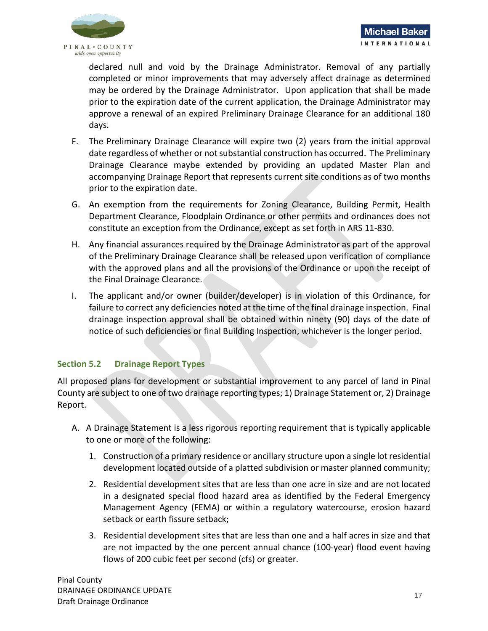

declared null and void by the Drainage Administrator. Removal of any partially completed or minor improvements that may adversely affect drainage as determined may be ordered by the Drainage Administrator. Upon application that shall be made prior to the expiration date of the current application, the Drainage Administrator may approve a renewal of an expired Preliminary Drainage Clearance for an additional 180 days.

- F. The Preliminary Drainage Clearance will expire two (2) years from the initial approval date regardless of whether or not substantial construction has occurred. The Preliminary Drainage Clearance maybe extended by providing an updated Master Plan and accompanying Drainage Report that represents current site conditions as of two months prior to the expiration date.
- G. An exemption from the requirements for Zoning Clearance, Building Permit, Health Department Clearance, Floodplain Ordinance or other permits and ordinances does not constitute an exception from the Ordinance, except as set forth in ARS 11-830.
- H. Any financial assurances required by the Drainage Administrator as part of the approval of the Preliminary Drainage Clearance shall be released upon verification of compliance with the approved plans and all the provisions of the Ordinance or upon the receipt of the Final Drainage Clearance.
- I. The applicant and/or owner (builder/developer) is in violation of this Ordinance, for failure to correct any deficiencies noted at the time of the final drainage inspection. Final drainage inspection approval shall be obtained within ninety (90) days of the date of notice of such deficiencies or final Building Inspection, whichever is the longer period.

## <span id="page-18-0"></span>**Section 5.2 Drainage Report Types**

All proposed plans for development or substantial improvement to any parcel of land in Pinal County are subject to one of two drainage reporting types; 1) Drainage Statement or, 2) Drainage Report.

- A. A Drainage Statement is a less rigorous reporting requirement that is typically applicable to one or more of the following:
	- 1. Construction of a primary residence or ancillary structure upon a single lot residential development located outside of a platted subdivision or master planned community;
	- 2. Residential development sites that are less than one acre in size and are not located in a designated special flood hazard area as identified by the Federal Emergency Management Agency (FEMA) or within a regulatory watercourse, erosion hazard setback or earth fissure setback;
	- 3. Residential development sites that are less than one and a half acres in size and that are not impacted by the one percent annual chance (100-year) flood event having flows of 200 cubic feet per second (cfs) or greater.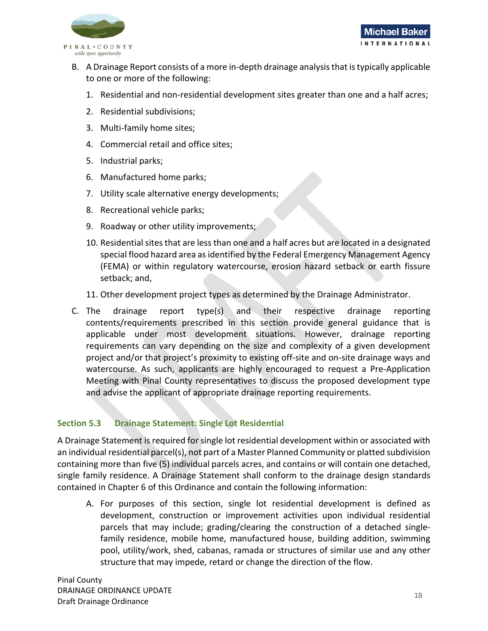

- B. A Drainage Report consists of a more in-depth drainage analysis that is typically applicable to one or more of the following:
	- 1. Residential and non-residential development sites greater than one and a half acres;
	- 2. Residential subdivisions;
	- 3. Multi-family home sites;
	- 4. Commercial retail and office sites;
	- 5. Industrial parks;
	- 6. Manufactured home parks;
	- 7. Utility scale alternative energy developments;
	- 8. Recreational vehicle parks;
	- 9. Roadway or other utility improvements;
	- 10. Residential sites that are less than one and a half acres but are located in a designated special flood hazard area as identified by the Federal Emergency Management Agency (FEMA) or within regulatory watercourse, erosion hazard setback or earth fissure setback; and,
	- 11. Other development project types as determined by the Drainage Administrator.
- C. The drainage report type(s) and their respective drainage reporting contents/requirements prescribed in this section provide general guidance that is applicable under most development situations. However, drainage reporting requirements can vary depending on the size and complexity of a given development project and/or that project's proximity to existing off-site and on-site drainage ways and watercourse. As such, applicants are highly encouraged to request a Pre-Application Meeting with Pinal County representatives to discuss the proposed development type and advise the applicant of appropriate drainage reporting requirements.

## <span id="page-19-0"></span>**Section 5.3 Drainage Statement: Single Lot Residential**

A Drainage Statement is required for single lot residential development within or associated with an individual residential parcel(s), not part of a Master Planned Community or platted subdivision containing more than five (5) individual parcels acres, and contains or will contain one detached, single family residence. A Drainage Statement shall conform to the drainage design standards contained in Chapter 6 of this Ordinance and contain the following information:

A. For purposes of this section, single lot residential development is defined as development, construction or improvement activities upon individual residential parcels that may include; grading/clearing the construction of a detached singlefamily residence, mobile home, manufactured house, building addition, swimming pool, utility/work, shed, cabanas, ramada or structures of similar use and any other structure that may impede, retard or change the direction of the flow.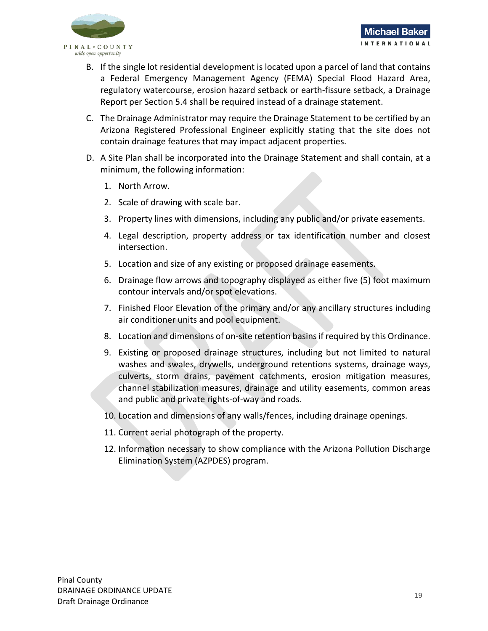

- B. If the single lot residential development is located upon a parcel of land that contains a Federal Emergency Management Agency (FEMA) Special Flood Hazard Area, regulatory watercourse, erosion hazard setback or earth-fissure setback, a Drainage Report per Section 5.4 shall be required instead of a drainage statement.
- C. The Drainage Administrator may require the Drainage Statement to be certified by an Arizona Registered Professional Engineer explicitly stating that the site does not contain drainage features that may impact adjacent properties.
- D. A Site Plan shall be incorporated into the Drainage Statement and shall contain, at a minimum, the following information:
	- 1. North Arrow.
	- 2. Scale of drawing with scale bar.
	- 3. Property lines with dimensions, including any public and/or private easements.
	- 4. Legal description, property address or tax identification number and closest intersection.
	- 5. Location and size of any existing or proposed drainage easements.
	- 6. Drainage flow arrows and topography displayed as either five (5) foot maximum contour intervals and/or spot elevations.
	- 7. Finished Floor Elevation of the primary and/or any ancillary structures including air conditioner units and pool equipment.
	- 8. Location and dimensions of on-site retention basins if required by this Ordinance.
	- 9. Existing or proposed drainage structures, including but not limited to natural washes and swales, drywells, underground retentions systems, drainage ways, culverts, storm drains, pavement catchments, erosion mitigation measures, channel stabilization measures, drainage and utility easements, common areas and public and private rights-of-way and roads.
	- 10. Location and dimensions of any walls/fences, including drainage openings.
	- 11. Current aerial photograph of the property.
	- 12. Information necessary to show compliance with the Arizona Pollution Discharge Elimination System (AZPDES) program.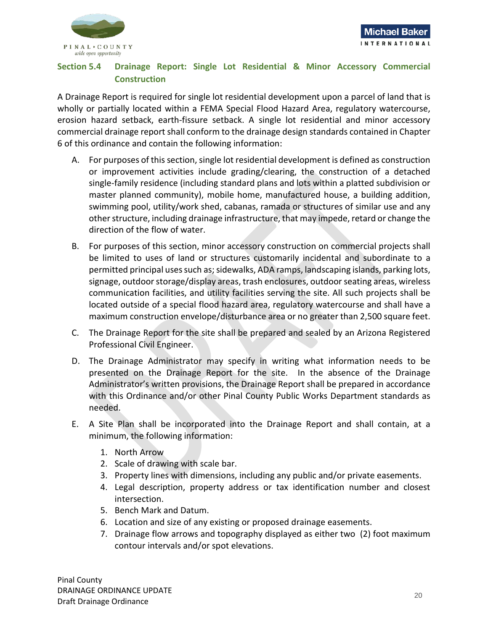

## <span id="page-21-0"></span>**Section 5.4 Drainage Report: Single Lot Residential & Minor Accessory Commercial Construction**

A Drainage Report is required for single lot residential development upon a parcel of land that is wholly or partially located within a FEMA Special Flood Hazard Area, regulatory watercourse, erosion hazard setback, earth-fissure setback. A single lot residential and minor accessory commercial drainage report shall conform to the drainage design standards contained in Chapter 6 of this ordinance and contain the following information:

- A. For purposes of this section, single lot residential development is defined as construction or improvement activities include grading/clearing, the construction of a detached single-family residence (including standard plans and lots within a platted subdivision or master planned community), mobile home, manufactured house, a building addition, swimming pool, utility/work shed, cabanas, ramada or structures of similar use and any other structure, including drainage infrastructure, that may impede, retard or change the direction of the flow of water.
- B. For purposes of this section, minor accessory construction on commercial projects shall be limited to uses of land or structures customarily incidental and subordinate to a permitted principal uses such as; sidewalks, ADA ramps, landscaping islands, parking lots, signage, outdoor storage/display areas, trash enclosures, outdoor seating areas, wireless communication facilities, and utility facilities serving the site. All such projects shall be located outside of a special flood hazard area, regulatory watercourse and shall have a maximum construction envelope/disturbance area or no greater than 2,500 square feet.
- C. The Drainage Report for the site shall be prepared and sealed by an Arizona Registered Professional Civil Engineer.
- D. The Drainage Administrator may specify in writing what information needs to be presented on the Drainage Report for the site. In the absence of the Drainage Administrator's written provisions, the Drainage Report shall be prepared in accordance with this Ordinance and/or other Pinal County Public Works Department standards as needed.
- E. A Site Plan shall be incorporated into the Drainage Report and shall contain, at a minimum, the following information:
	- 1. North Arrow
	- 2. Scale of drawing with scale bar.
	- 3. Property lines with dimensions, including any public and/or private easements.
	- 4. Legal description, property address or tax identification number and closest intersection.
	- 5. Bench Mark and Datum.
	- 6. Location and size of any existing or proposed drainage easements.
	- 7. Drainage flow arrows and topography displayed as either two (2) foot maximum contour intervals and/or spot elevations.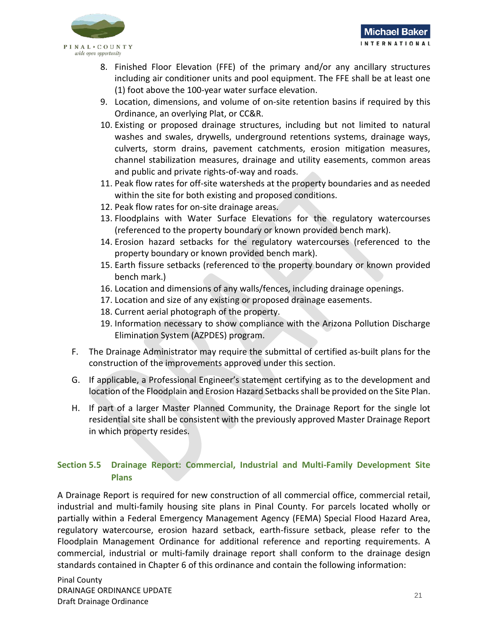

- 8. Finished Floor Elevation (FFE) of the primary and/or any ancillary structures including air conditioner units and pool equipment. The FFE shall be at least one (1) foot above the 100-year water surface elevation.
- 9. Location, dimensions, and volume of on-site retention basins if required by this Ordinance, an overlying Plat, or CC&R.
- 10. Existing or proposed drainage structures, including but not limited to natural washes and swales, drywells, underground retentions systems, drainage ways, culverts, storm drains, pavement catchments, erosion mitigation measures, channel stabilization measures, drainage and utility easements, common areas and public and private rights-of-way and roads.
- 11. Peak flow rates for off-site watersheds at the property boundaries and as needed within the site for both existing and proposed conditions.
- 12. Peak flow rates for on-site drainage areas.
- 13. Floodplains with Water Surface Elevations for the regulatory watercourses (referenced to the property boundary or known provided bench mark).
- 14. Erosion hazard setbacks for the regulatory watercourses (referenced to the property boundary or known provided bench mark).
- 15. Earth fissure setbacks (referenced to the property boundary or known provided bench mark.)
- 16. Location and dimensions of any walls/fences, including drainage openings.
- 17. Location and size of any existing or proposed drainage easements.
- 18. Current aerial photograph of the property.
- 19. Information necessary to show compliance with the Arizona Pollution Discharge Elimination System (AZPDES) program.
- F. The Drainage Administrator may require the submittal of certified as-built plans for the construction of the improvements approved under this section.
- G. If applicable, a Professional Engineer's statement certifying as to the development and location of the Floodplain and Erosion Hazard Setbacks shall be provided on the Site Plan.
- H. If part of a larger Master Planned Community, the Drainage Report for the single lot residential site shall be consistent with the previously approved Master Drainage Report in which property resides.

## <span id="page-22-0"></span>**Section 5.5 Drainage Report: Commercial, Industrial and Multi-Family Development Site Plans**

A Drainage Report is required for new construction of all commercial office, commercial retail, industrial and multi-family housing site plans in Pinal County. For parcels located wholly or partially within a Federal Emergency Management Agency (FEMA) Special Flood Hazard Area, regulatory watercourse, erosion hazard setback, earth-fissure setback, please refer to the Floodplain Management Ordinance for additional reference and reporting requirements. A commercial, industrial or multi-family drainage report shall conform to the drainage design standards contained in Chapter 6 of this ordinance and contain the following information: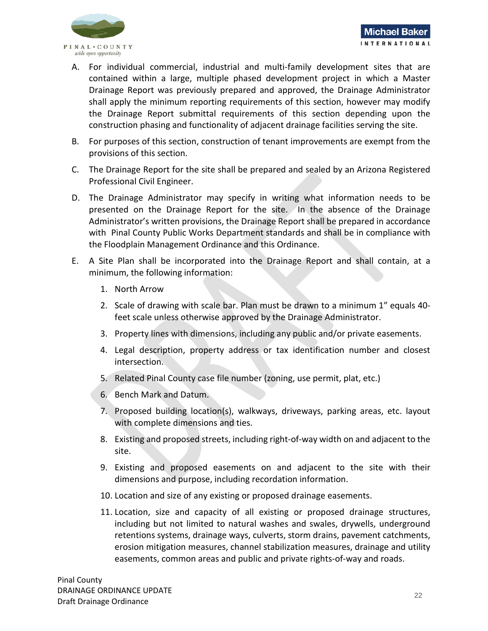

- A. For individual commercial, industrial and multi-family development sites that are contained within a large, multiple phased development project in which a Master Drainage Report was previously prepared and approved, the Drainage Administrator shall apply the minimum reporting requirements of this section, however may modify the Drainage Report submittal requirements of this section depending upon the construction phasing and functionality of adjacent drainage facilities serving the site.
- B. For purposes of this section, construction of tenant improvements are exempt from the provisions of this section.
- C. The Drainage Report for the site shall be prepared and sealed by an Arizona Registered Professional Civil Engineer.
- D. The Drainage Administrator may specify in writing what information needs to be presented on the Drainage Report for the site. In the absence of the Drainage Administrator's written provisions, the Drainage Report shall be prepared in accordance with Pinal County Public Works Department standards and shall be in compliance with the Floodplain Management Ordinance and this Ordinance.
- E. A Site Plan shall be incorporated into the Drainage Report and shall contain, at a minimum, the following information:
	- 1. North Arrow
	- 2. Scale of drawing with scale bar. Plan must be drawn to a minimum 1" equals 40 feet scale unless otherwise approved by the Drainage Administrator.
	- 3. Property lines with dimensions, including any public and/or private easements.
	- 4. Legal description, property address or tax identification number and closest intersection.
	- 5. Related Pinal County case file number (zoning, use permit, plat, etc.)
	- 6. Bench Mark and Datum.
	- 7. Proposed building location(s), walkways, driveways, parking areas, etc. layout with complete dimensions and ties.
	- 8. Existing and proposed streets, including right-of-way width on and adjacent to the site.
	- 9. Existing and proposed easements on and adjacent to the site with their dimensions and purpose, including recordation information.
	- 10. Location and size of any existing or proposed drainage easements.
	- 11. Location, size and capacity of all existing or proposed drainage structures, including but not limited to natural washes and swales, drywells, underground retentions systems, drainage ways, culverts, storm drains, pavement catchments, erosion mitigation measures, channel stabilization measures, drainage and utility easements, common areas and public and private rights-of-way and roads.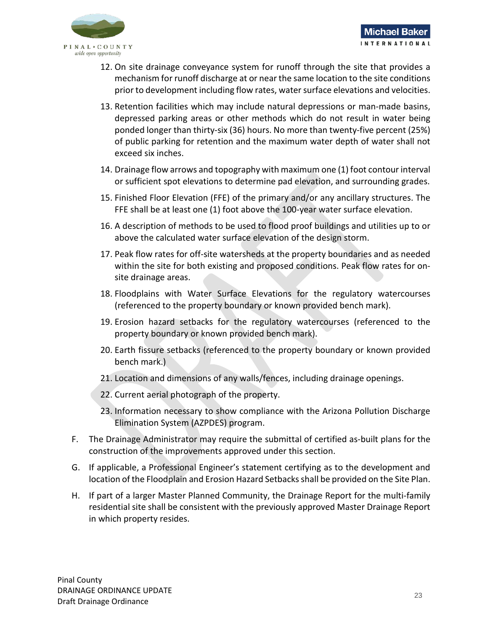

- 12. On site drainage conveyance system for runoff through the site that provides a mechanism for runoff discharge at or near the same location to the site conditions prior to development including flow rates, water surface elevations and velocities.
- 13. Retention facilities which may include natural depressions or man-made basins, depressed parking areas or other methods which do not result in water being ponded longer than thirty-six (36) hours. No more than twenty-five percent (25%) of public parking for retention and the maximum water depth of water shall not exceed six inches.
- 14. Drainage flow arrows and topography with maximum one (1) foot contour interval or sufficient spot elevations to determine pad elevation, and surrounding grades.
- 15. Finished Floor Elevation (FFE) of the primary and/or any ancillary structures. The FFE shall be at least one (1) foot above the 100-year water surface elevation.
- 16. A description of methods to be used to flood proof buildings and utilities up to or above the calculated water surface elevation of the design storm.
- 17. Peak flow rates for off-site watersheds at the property boundaries and as needed within the site for both existing and proposed conditions. Peak flow rates for onsite drainage areas.
- 18. Floodplains with Water Surface Elevations for the regulatory watercourses (referenced to the property boundary or known provided bench mark).
- 19. Erosion hazard setbacks for the regulatory watercourses (referenced to the property boundary or known provided bench mark).
- 20. Earth fissure setbacks (referenced to the property boundary or known provided bench mark.)
- 21. Location and dimensions of any walls/fences, including drainage openings.
- 22. Current aerial photograph of the property.
- 23. Information necessary to show compliance with the Arizona Pollution Discharge Elimination System (AZPDES) program.
- F. The Drainage Administrator may require the submittal of certified as-built plans for the construction of the improvements approved under this section.
- G. If applicable, a Professional Engineer's statement certifying as to the development and location of the Floodplain and Erosion Hazard Setbacks shall be provided on the Site Plan.
- H. If part of a larger Master Planned Community, the Drainage Report for the multi-family residential site shall be consistent with the previously approved Master Drainage Report in which property resides.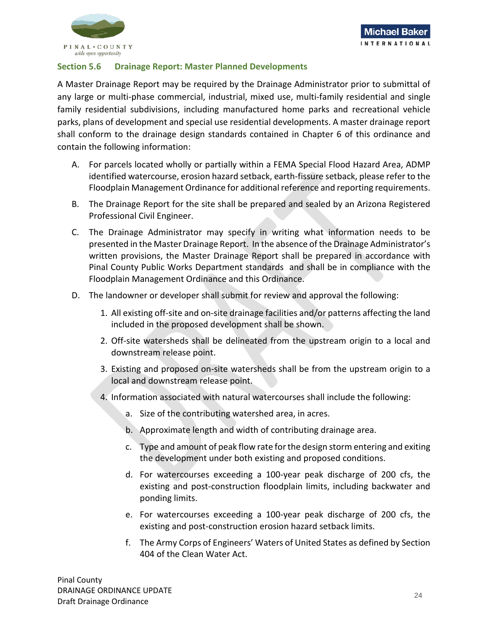

## <span id="page-25-0"></span>**Section 5.6 Drainage Report: Master Planned Developments**

A Master Drainage Report may be required by the Drainage Administrator prior to submittal of any large or multi-phase commercial, industrial, mixed use, multi-family residential and single family residential subdivisions, including manufactured home parks and recreational vehicle parks, plans of development and special use residential developments. A master drainage report shall conform to the drainage design standards contained in Chapter 6 of this ordinance and contain the following information:

- A. For parcels located wholly or partially within a FEMA Special Flood Hazard Area, ADMP identified watercourse, erosion hazard setback, earth-fissure setback, please refer to the Floodplain Management Ordinance for additional reference and reporting requirements.
- B. The Drainage Report for the site shall be prepared and sealed by an Arizona Registered Professional Civil Engineer.
- C. The Drainage Administrator may specify in writing what information needs to be presented in the Master Drainage Report. In the absence of the Drainage Administrator's written provisions, the Master Drainage Report shall be prepared in accordance with Pinal County Public Works Department standards and shall be in compliance with the Floodplain Management Ordinance and this Ordinance.
- D. The landowner or developer shall submit for review and approval the following:
	- 1. All existing off-site and on-site drainage facilities and/or patterns affecting the land included in the proposed development shall be shown.
	- 2. Off-site watersheds shall be delineated from the upstream origin to a local and downstream release point.
	- 3. Existing and proposed on-site watersheds shall be from the upstream origin to a local and downstream release point.
	- 4. Information associated with natural watercourses shall include the following:
		- a. Size of the contributing watershed area, in acres.
		- b. Approximate length and width of contributing drainage area.
		- c. Type and amount of peak flow rate for the design storm entering and exiting the development under both existing and proposed conditions.
		- d. For watercourses exceeding a 100-year peak discharge of 200 cfs, the existing and post-construction floodplain limits, including backwater and ponding limits.
		- e. For watercourses exceeding a 100-year peak discharge of 200 cfs, the existing and post-construction erosion hazard setback limits.
		- f. The Army Corps of Engineers' Waters of United States as defined by Section 404 of the Clean Water Act.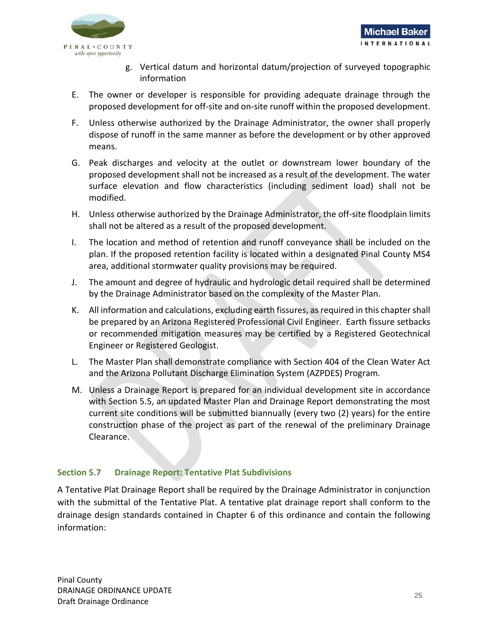

- g. Vertical datum and horizontal datum/projection of surveyed topographic information
- E. The owner or developer is responsible for providing adequate drainage through the proposed development for off-site and on-site runoff within the proposed development.
- F. Unless otherwise authorized by the Drainage Administrator, the owner shall properly dispose of runoff in the same manner as before the development or by other approved means.
- G. Peak discharges and velocity at the outlet or downstream lower boundary of the proposed development shall not be increased as a result of the development. The water surface elevation and flow characteristics (including sediment load) shall not be modified.
- H. Unless otherwise authorized by the Drainage Administrator, the off-site floodplain limits shall not be altered as a result of the proposed development.
- I. The location and method of retention and runoff conveyance shall be included on the plan. If the proposed retention facility is located within a designated Pinal County MS4 area, additional stormwater quality provisions may be required.
- J. The amount and degree of hydraulic and hydrologic detail required shall be determined by the Drainage Administrator based on the complexity of the Master Plan.
- K. All information and calculations, excluding earth fissures, as required in this chapter shall be prepared by an Arizona Registered Professional Civil Engineer. Earth fissure setbacks or recommended mitigation measures may be certified by a Registered Geotechnical Engineer or Registered Geologist.
- L. The Master Plan shall demonstrate compliance with Section 404 of the Clean Water Act and the Arizona Pollutant Discharge Elimination System (AZPDES) Program.
- M. Unless a Drainage Report is prepared for an individual development site in accordance with Section 5.5, an updated Master Plan and Drainage Report demonstrating the most current site conditions will be submitted biannually (every two (2) years) for the entire construction phase of the project as part of the renewal of the preliminary Drainage Clearance.

## <span id="page-26-0"></span>**Section 5.7 Drainage Report: Tentative Plat Subdivisions**

A Tentative Plat Drainage Report shall be required by the Drainage Administrator in conjunction with the submittal of the Tentative Plat. A tentative plat drainage report shall conform to the drainage design standards contained in Chapter 6 of this ordinance and contain the following information: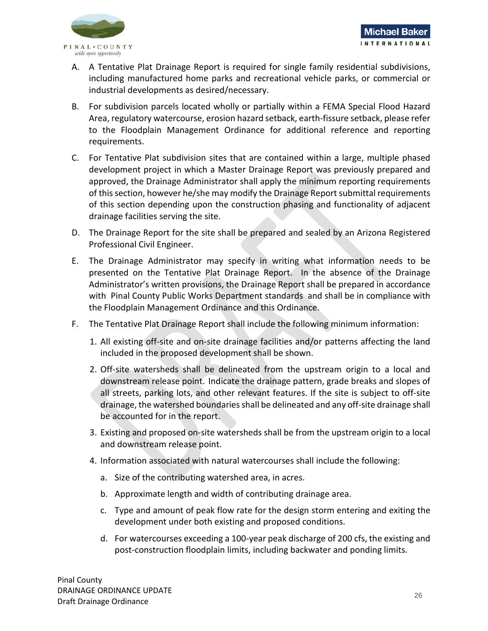

- A. A Tentative Plat Drainage Report is required for single family residential subdivisions, including manufactured home parks and recreational vehicle parks, or commercial or industrial developments as desired/necessary.
- B. For subdivision parcels located wholly or partially within a FEMA Special Flood Hazard Area, regulatory watercourse, erosion hazard setback, earth-fissure setback, please refer to the Floodplain Management Ordinance for additional reference and reporting requirements.
- C. For Tentative Plat subdivision sites that are contained within a large, multiple phased development project in which a Master Drainage Report was previously prepared and approved, the Drainage Administrator shall apply the minimum reporting requirements of this section, however he/she may modify the Drainage Report submittal requirements of this section depending upon the construction phasing and functionality of adjacent drainage facilities serving the site.
- D. The Drainage Report for the site shall be prepared and sealed by an Arizona Registered Professional Civil Engineer.
- E. The Drainage Administrator may specify in writing what information needs to be presented on the Tentative Plat Drainage Report. In the absence of the Drainage Administrator's written provisions, the Drainage Report shall be prepared in accordance with Pinal County Public Works Department standards and shall be in compliance with the Floodplain Management Ordinance and this Ordinance.
- F. The Tentative Plat Drainage Report shall include the following minimum information:
	- 1. All existing off-site and on-site drainage facilities and/or patterns affecting the land included in the proposed development shall be shown.
	- 2. Off-site watersheds shall be delineated from the upstream origin to a local and downstream release point. Indicate the drainage pattern, grade breaks and slopes of all streets, parking lots, and other relevant features. If the site is subject to off-site drainage, the watershed boundaries shall be delineated and any off-site drainage shall be accounted for in the report.
	- 3. Existing and proposed on-site watersheds shall be from the upstream origin to a local and downstream release point.
	- 4. Information associated with natural watercourses shall include the following:
		- a. Size of the contributing watershed area, in acres.
		- b. Approximate length and width of contributing drainage area.
		- c. Type and amount of peak flow rate for the design storm entering and exiting the development under both existing and proposed conditions.
		- d. For watercourses exceeding a 100-year peak discharge of 200 cfs, the existing and post-construction floodplain limits, including backwater and ponding limits.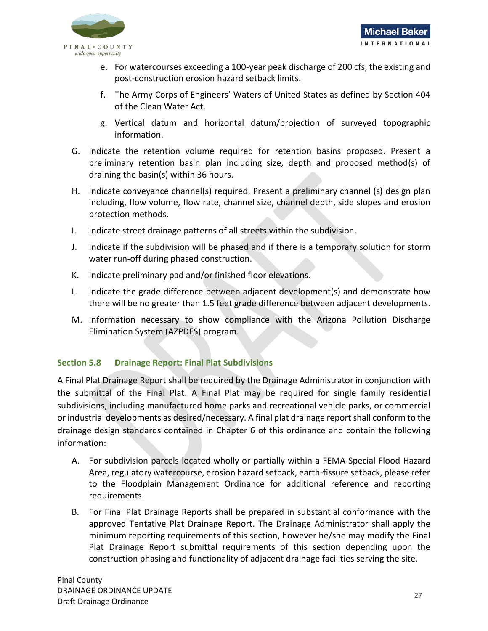

- e. For watercourses exceeding a 100-year peak discharge of 200 cfs, the existing and post-construction erosion hazard setback limits.
- f. The Army Corps of Engineers' Waters of United States as defined by Section 404 of the Clean Water Act.
- g. Vertical datum and horizontal datum/projection of surveyed topographic information.
- G. Indicate the retention volume required for retention basins proposed. Present a preliminary retention basin plan including size, depth and proposed method(s) of draining the basin(s) within 36 hours.
- H. Indicate conveyance channel(s) required. Present a preliminary channel (s) design plan including, flow volume, flow rate, channel size, channel depth, side slopes and erosion protection methods.
- I. Indicate street drainage patterns of all streets within the subdivision.
- J. Indicate if the subdivision will be phased and if there is a temporary solution for storm water run-off during phased construction.
- K. Indicate preliminary pad and/or finished floor elevations.
- L. Indicate the grade difference between adjacent development(s) and demonstrate how there will be no greater than 1.5 feet grade difference between adjacent developments.
- M. Information necessary to show compliance with the Arizona Pollution Discharge Elimination System (AZPDES) program.

## <span id="page-28-0"></span>**Section 5.8 Drainage Report: Final Plat Subdivisions**

A Final Plat Drainage Report shall be required by the Drainage Administrator in conjunction with the submittal of the Final Plat. A Final Plat may be required for single family residential subdivisions, including manufactured home parks and recreational vehicle parks, or commercial or industrial developments as desired/necessary. A final plat drainage report shall conform to the drainage design standards contained in Chapter 6 of this ordinance and contain the following information:

- A. For subdivision parcels located wholly or partially within a FEMA Special Flood Hazard Area, regulatory watercourse, erosion hazard setback, earth-fissure setback, please refer to the Floodplain Management Ordinance for additional reference and reporting requirements.
- B. For Final Plat Drainage Reports shall be prepared in substantial conformance with the approved Tentative Plat Drainage Report. The Drainage Administrator shall apply the minimum reporting requirements of this section, however he/she may modify the Final Plat Drainage Report submittal requirements of this section depending upon the construction phasing and functionality of adjacent drainage facilities serving the site.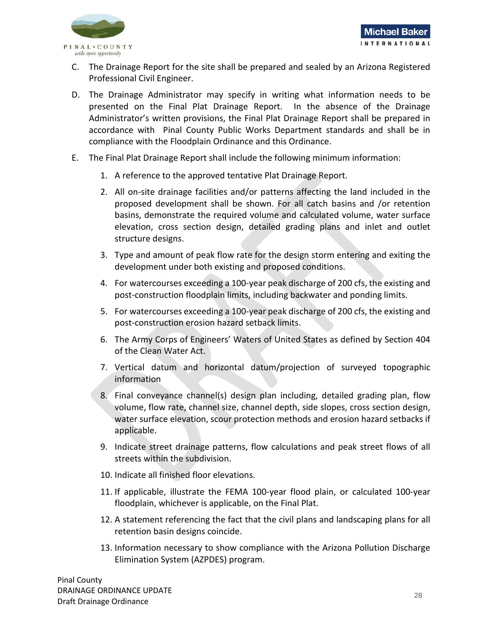

- C. The Drainage Report for the site shall be prepared and sealed by an Arizona Registered Professional Civil Engineer.
- D. The Drainage Administrator may specify in writing what information needs to be presented on the Final Plat Drainage Report. In the absence of the Drainage Administrator's written provisions, the Final Plat Drainage Report shall be prepared in accordance with Pinal County Public Works Department standards and shall be in compliance with the Floodplain Ordinance and this Ordinance.
- E. The Final Plat Drainage Report shall include the following minimum information:
	- 1. A reference to the approved tentative Plat Drainage Report.
	- 2. All on-site drainage facilities and/or patterns affecting the land included in the proposed development shall be shown. For all catch basins and /or retention basins, demonstrate the required volume and calculated volume, water surface elevation, cross section design, detailed grading plans and inlet and outlet structure designs.
	- 3. Type and amount of peak flow rate for the design storm entering and exiting the development under both existing and proposed conditions.
	- 4. For watercourses exceeding a 100-year peak discharge of 200 cfs, the existing and post-construction floodplain limits, including backwater and ponding limits.
	- 5. For watercourses exceeding a 100-year peak discharge of 200 cfs, the existing and post-construction erosion hazard setback limits.
	- 6. The Army Corps of Engineers' Waters of United States as defined by Section 404 of the Clean Water Act.
	- 7. Vertical datum and horizontal datum/projection of surveyed topographic information
	- 8. Final conveyance channel(s) design plan including, detailed grading plan, flow volume, flow rate, channel size, channel depth, side slopes, cross section design, water surface elevation, scour protection methods and erosion hazard setbacks if applicable.
	- 9. Indicate street drainage patterns, flow calculations and peak street flows of all streets within the subdivision.
	- 10. Indicate all finished floor elevations.
	- 11. If applicable, illustrate the FEMA 100-year flood plain, or calculated 100-year floodplain, whichever is applicable, on the Final Plat.
	- 12. A statement referencing the fact that the civil plans and landscaping plans for all retention basin designs coincide.
	- 13. Information necessary to show compliance with the Arizona Pollution Discharge Elimination System (AZPDES) program.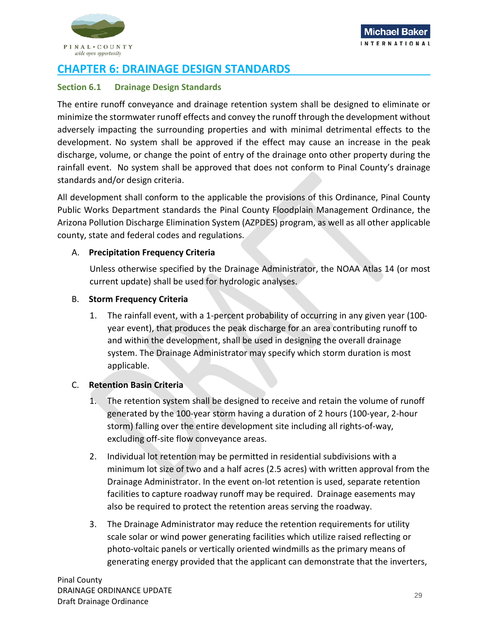

## <span id="page-30-0"></span>**CHAPTER 6: DRAINAGE DESIGN STANDARDS**

## <span id="page-30-1"></span>**Section 6.1 Drainage Design Standards**

The entire runoff conveyance and drainage retention system shall be designed to eliminate or minimize the stormwater runoff effects and convey the runoff through the development without adversely impacting the surrounding properties and with minimal detrimental effects to the development. No system shall be approved if the effect may cause an increase in the peak discharge, volume, or change the point of entry of the drainage onto other property during the rainfall event. No system shall be approved that does not conform to Pinal County's drainage standards and/or design criteria.

All development shall conform to the applicable the provisions of this Ordinance, Pinal County Public Works Department standards the Pinal County Floodplain Management Ordinance, the Arizona Pollution Discharge Elimination System (AZPDES) program, as well as all other applicable county, state and federal codes and regulations.

## A. **Precipitation Frequency Criteria**

Unless otherwise specified by the Drainage Administrator, the NOAA Atlas 14 (or most current update) shall be used for hydrologic analyses.

## B. **Storm Frequency Criteria**

1. The rainfall event, with a 1-percent probability of occurring in any given year (100 year event), that produces the peak discharge for an area contributing runoff to and within the development, shall be used in designing the overall drainage system. The Drainage Administrator may specify which storm duration is most applicable.

## C. **Retention Basin Criteria**

- 1. The retention system shall be designed to receive and retain the volume of runoff generated by the 100-year storm having a duration of 2 hours (100-year, 2-hour storm) falling over the entire development site including all rights-of-way, excluding off-site flow conveyance areas.
- 2. Individual lot retention may be permitted in residential subdivisions with a minimum lot size of two and a half acres (2.5 acres) with written approval from the Drainage Administrator. In the event on-lot retention is used, separate retention facilities to capture roadway runoff may be required. Drainage easements may also be required to protect the retention areas serving the roadway.
- 3. The Drainage Administrator may reduce the retention requirements for utility scale solar or wind power generating facilities which utilize raised reflecting or photo-voltaic panels or vertically oriented windmills as the primary means of generating energy provided that the applicant can demonstrate that the inverters,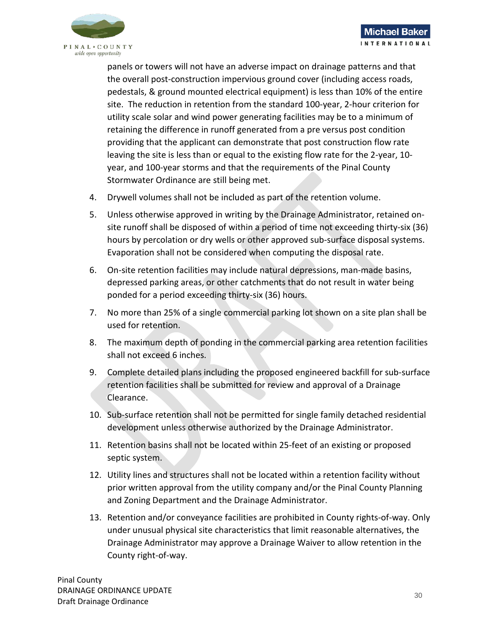

panels or towers will not have an adverse impact on drainage patterns and that the overall post-construction impervious ground cover (including access roads, pedestals, & ground mounted electrical equipment) is less than 10% of the entire site. The reduction in retention from the standard 100-year, 2-hour criterion for utility scale solar and wind power generating facilities may be to a minimum of retaining the difference in runoff generated from a pre versus post condition providing that the applicant can demonstrate that post construction flow rate leaving the site is less than or equal to the existing flow rate for the 2-year, 10 year, and 100-year storms and that the requirements of the Pinal County Stormwater Ordinance are still being met.

- 4. Drywell volumes shall not be included as part of the retention volume.
- 5. Unless otherwise approved in writing by the Drainage Administrator, retained onsite runoff shall be disposed of within a period of time not exceeding thirty-six (36) hours by percolation or dry wells or other approved sub-surface disposal systems. Evaporation shall not be considered when computing the disposal rate.
- 6. On-site retention facilities may include natural depressions, man-made basins, depressed parking areas, or other catchments that do not result in water being ponded for a period exceeding thirty-six (36) hours.
- 7. No more than 25% of a single commercial parking lot shown on a site plan shall be used for retention.
- 8. The maximum depth of ponding in the commercial parking area retention facilities shall not exceed 6 inches.
- 9. Complete detailed plans including the proposed engineered backfill for sub-surface retention facilities shall be submitted for review and approval of a Drainage Clearance.
- 10. Sub-surface retention shall not be permitted for single family detached residential development unless otherwise authorized by the Drainage Administrator.
- 11. Retention basins shall not be located within 25-feet of an existing or proposed septic system.
- 12. Utility lines and structures shall not be located within a retention facility without prior written approval from the utility company and/or the Pinal County Planning and Zoning Department and the Drainage Administrator.
- 13. Retention and/or conveyance facilities are prohibited in County rights-of-way. Only under unusual physical site characteristics that limit reasonable alternatives, the Drainage Administrator may approve a Drainage Waiver to allow retention in the County right-of-way.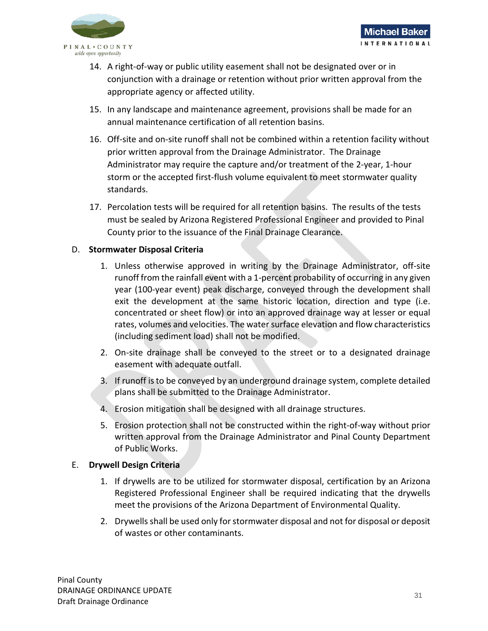

- 14. A right-of-way or public utility easement shall not be designated over or in conjunction with a drainage or retention without prior written approval from the appropriate agency or affected utility.
- 15. In any landscape and maintenance agreement, provisions shall be made for an annual maintenance certification of all retention basins.
- 16. Off-site and on-site runoff shall not be combined within a retention facility without prior written approval from the Drainage Administrator. The Drainage Administrator may require the capture and/or treatment of the 2-year, 1-hour storm or the accepted first-flush volume equivalent to meet stormwater quality standards.
- 17. Percolation tests will be required for all retention basins. The results of the tests must be sealed by Arizona Registered Professional Engineer and provided to Pinal County prior to the issuance of the Final Drainage Clearance.

## D. **Stormwater Disposal Criteria**

- 1. Unless otherwise approved in writing by the Drainage Administrator, off-site runoff from the rainfall event with a 1-percent probability of occurring in any given year (100-year event) peak discharge, conveyed through the development shall exit the development at the same historic location, direction and type (i.e. concentrated or sheet flow) or into an approved drainage way at lesser or equal rates, volumes and velocities. The water surface elevation and flow characteristics (including sediment load) shall not be modified.
- 2. On-site drainage shall be conveyed to the street or to a designated drainage easement with adequate outfall.
- 3. If runoff is to be conveyed by an underground drainage system, complete detailed plans shall be submitted to the Drainage Administrator.
- 4. Erosion mitigation shall be designed with all drainage structures.
- 5. Erosion protection shall not be constructed within the right-of-way without prior written approval from the Drainage Administrator and Pinal County Department of Public Works.

## E. **Drywell Design Criteria**

- 1. If drywells are to be utilized for stormwater disposal, certification by an Arizona Registered Professional Engineer shall be required indicating that the drywells meet the provisions of the Arizona Department of Environmental Quality.
- 2. Drywells shall be used only for stormwater disposal and not for disposal or deposit of wastes or other contaminants.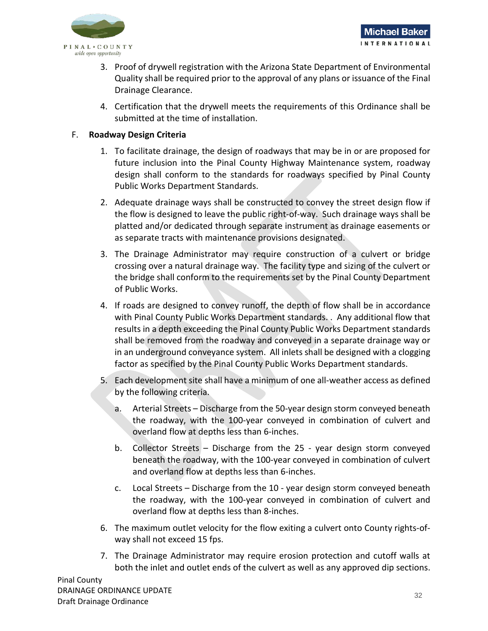

- 3. Proof of drywell registration with the Arizona State Department of Environmental Quality shall be required prior to the approval of any plans or issuance of the Final Drainage Clearance.
- 4. Certification that the drywell meets the requirements of this Ordinance shall be submitted at the time of installation.

## F. **Roadway Design Criteria**

- 1. To facilitate drainage, the design of roadways that may be in or are proposed for future inclusion into the Pinal County Highway Maintenance system, roadway design shall conform to the standards for roadways specified by Pinal County Public Works Department Standards.
- 2. Adequate drainage ways shall be constructed to convey the street design flow if the flow is designed to leave the public right-of-way. Such drainage ways shall be platted and/or dedicated through separate instrument as drainage easements or as separate tracts with maintenance provisions designated.
- 3. The Drainage Administrator may require construction of a culvert or bridge crossing over a natural drainage way. The facility type and sizing of the culvert or the bridge shall conform to the requirements set by the Pinal County Department of Public Works.
- 4. If roads are designed to convey runoff, the depth of flow shall be in accordance with Pinal County Public Works Department standards. . Any additional flow that results in a depth exceeding the Pinal County Public Works Department standards shall be removed from the roadway and conveyed in a separate drainage way or in an underground conveyance system. All inlets shall be designed with a clogging factor as specified by the Pinal County Public Works Department standards.
- 5. Each development site shall have a minimum of one all-weather access as defined by the following criteria.
	- a. Arterial Streets Discharge from the 50-year design storm conveyed beneath the roadway, with the 100-year conveyed in combination of culvert and overland flow at depths less than 6-inches.
	- b. Collector Streets Discharge from the 25 year design storm conveyed beneath the roadway, with the 100-year conveyed in combination of culvert and overland flow at depths less than 6-inches.
	- c. Local Streets Discharge from the 10 year design storm conveyed beneath the roadway, with the 100-year conveyed in combination of culvert and overland flow at depths less than 8-inches.
- 6. The maximum outlet velocity for the flow exiting a culvert onto County rights-ofway shall not exceed 15 fps.
- 7. The Drainage Administrator may require erosion protection and cutoff walls at both the inlet and outlet ends of the culvert as well as any approved dip sections.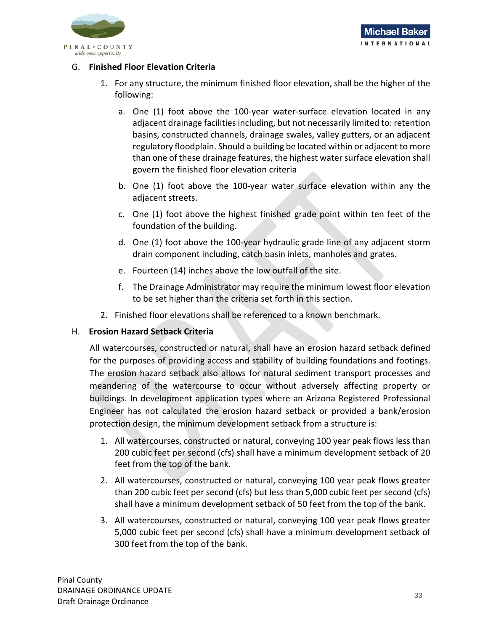

## G. **Finished Floor Elevation Criteria**

- 1. For any structure, the minimum finished floor elevation, shall be the higher of the following:
	- a. One (1) foot above the 100-year water-surface elevation located in any adjacent drainage facilities including, but not necessarily limited to: retention basins, constructed channels, drainage swales, valley gutters, or an adjacent regulatory floodplain. Should a building be located within or adjacent to more than one of these drainage features, the highest water surface elevation shall govern the finished floor elevation criteria
	- b. One (1) foot above the 100-year water surface elevation within any the adjacent streets.
	- c. One (1) foot above the highest finished grade point within ten feet of the foundation of the building.
	- d. One (1) foot above the 100-year hydraulic grade line of any adjacent storm drain component including, catch basin inlets, manholes and grates.
	- e. Fourteen (14) inches above the low outfall of the site.
	- f. The Drainage Administrator may require the minimum lowest floor elevation to be set higher than the criteria set forth in this section.
- 2. Finished floor elevations shall be referenced to a known benchmark.

## H. **Erosion Hazard Setback Criteria**

All watercourses, constructed or natural, shall have an erosion hazard setback defined for the purposes of providing access and stability of building foundations and footings. The erosion hazard setback also allows for natural sediment transport processes and meandering of the watercourse to occur without adversely affecting property or buildings. In development application types where an Arizona Registered Professional Engineer has not calculated the erosion hazard setback or provided a bank/erosion protection design, the minimum development setback from a structure is:

- 1. All watercourses, constructed or natural, conveying 100 year peak flows less than 200 cubic feet per second (cfs) shall have a minimum development setback of 20 feet from the top of the bank.
- 2. All watercourses, constructed or natural, conveying 100 year peak flows greater than 200 cubic feet per second (cfs) but less than 5,000 cubic feet per second (cfs) shall have a minimum development setback of 50 feet from the top of the bank.
- 3. All watercourses, constructed or natural, conveying 100 year peak flows greater 5,000 cubic feet per second (cfs) shall have a minimum development setback of 300 feet from the top of the bank.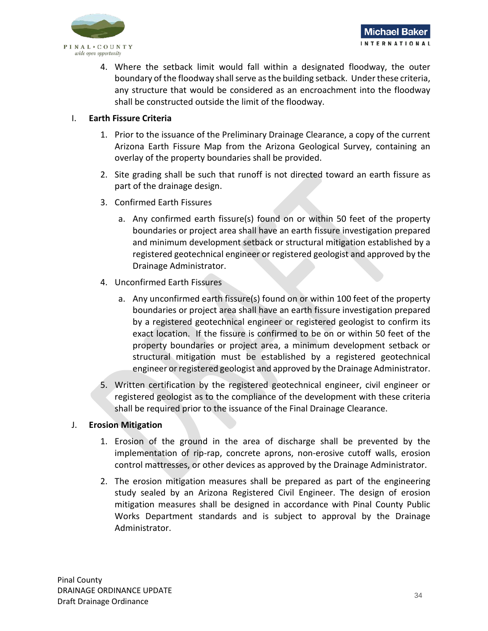

4. Where the setback limit would fall within a designated floodway, the outer boundary of the floodway shall serve as the building setback. Under these criteria, any structure that would be considered as an encroachment into the floodway shall be constructed outside the limit of the floodway.

## I. **Earth Fissure Criteria**

- 1. Prior to the issuance of the Preliminary Drainage Clearance, a copy of the current Arizona Earth Fissure Map from the Arizona Geological Survey, containing an overlay of the property boundaries shall be provided.
- 2. Site grading shall be such that runoff is not directed toward an earth fissure as part of the drainage design.
- 3. Confirmed Earth Fissures
	- a. Any confirmed earth fissure(s) found on or within 50 feet of the property boundaries or project area shall have an earth fissure investigation prepared and minimum development setback or structural mitigation established by a registered geotechnical engineer or registered geologist and approved by the Drainage Administrator.
- 4. Unconfirmed Earth Fissures
	- a. Any unconfirmed earth fissure(s) found on or within 100 feet of the property boundaries or project area shall have an earth fissure investigation prepared by a registered geotechnical engineer or registered geologist to confirm its exact location. If the fissure is confirmed to be on or within 50 feet of the property boundaries or project area, a minimum development setback or structural mitigation must be established by a registered geotechnical engineer or registered geologist and approved by the Drainage Administrator.
- 5. Written certification by the registered geotechnical engineer, civil engineer or registered geologist as to the compliance of the development with these criteria shall be required prior to the issuance of the Final Drainage Clearance.

#### J. **Erosion Mitigation**

- 1. Erosion of the ground in the area of discharge shall be prevented by the implementation of rip-rap, concrete aprons, non-erosive cutoff walls, erosion control mattresses, or other devices as approved by the Drainage Administrator.
- 2. The erosion mitigation measures shall be prepared as part of the engineering study sealed by an Arizona Registered Civil Engineer. The design of erosion mitigation measures shall be designed in accordance with Pinal County Public Works Department standards and is subject to approval by the Drainage Administrator.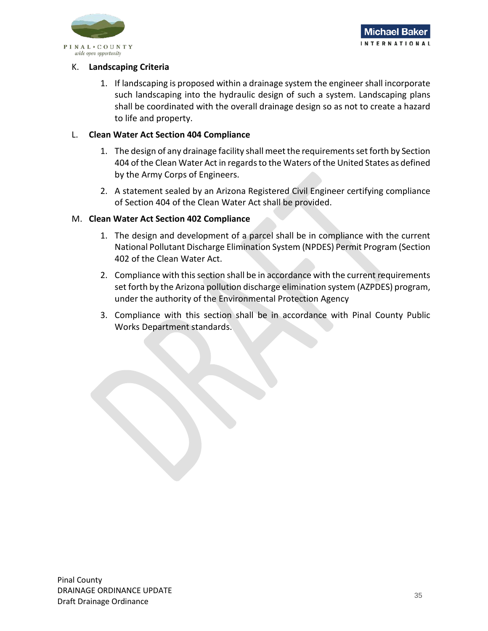

## K. **Landscaping Criteria**

1. If landscaping is proposed within a drainage system the engineer shall incorporate such landscaping into the hydraulic design of such a system. Landscaping plans shall be coordinated with the overall drainage design so as not to create a hazard to life and property.

## L. **Clean Water Act Section 404 Compliance**

- 1. The design of any drainage facility shall meet the requirements set forth by Section 404 of the Clean Water Act in regards to the Waters of the United States as defined by the Army Corps of Engineers.
- 2. A statement sealed by an Arizona Registered Civil Engineer certifying compliance of Section 404 of the Clean Water Act shall be provided.

## M. **Clean Water Act Section 402 Compliance**

- 1. The design and development of a parcel shall be in compliance with the current National Pollutant Discharge Elimination System (NPDES) Permit Program (Section 402 of the Clean Water Act.
- 2. Compliance with this section shall be in accordance with the current requirements set forth by the Arizona pollution discharge elimination system (AZPDES) program, under the authority of the Environmental Protection Agency
- 3. Compliance with this section shall be in accordance with Pinal County Public Works Department standards.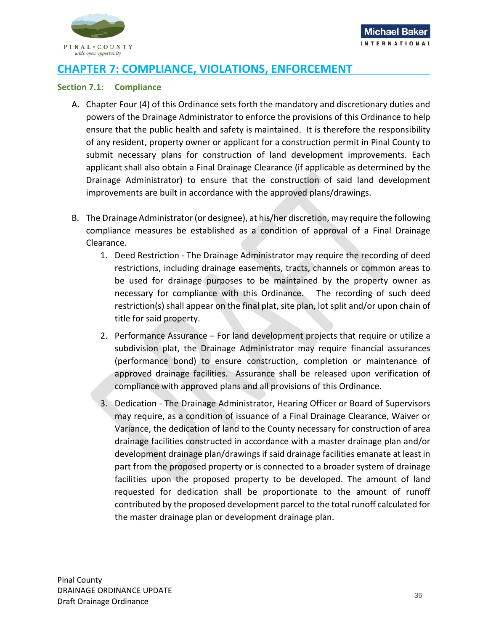

## <span id="page-37-0"></span>**CHAPTER 7: COMPLIANCE, VIOLATIONS, ENFORCEMENT**

#### <span id="page-37-1"></span>**Section 7.1: Compliance**

- A. Chapter Four (4) of this Ordinance sets forth the mandatory and discretionary duties and powers of the Drainage Administrator to enforce the provisions of this Ordinance to help ensure that the public health and safety is maintained. It is therefore the responsibility of any resident, property owner or applicant for a construction permit in Pinal County to submit necessary plans for construction of land development improvements. Each applicant shall also obtain a Final Drainage Clearance (if applicable as determined by the Drainage Administrator) to ensure that the construction of said land development improvements are built in accordance with the approved plans/drawings.
- B. The Drainage Administrator (or designee), at his/her discretion, may require the following compliance measures be established as a condition of approval of a Final Drainage Clearance.
	- 1. Deed Restriction The Drainage Administrator may require the recording of deed restrictions, including drainage easements, tracts, channels or common areas to be used for drainage purposes to be maintained by the property owner as necessary for compliance with this Ordinance. The recording of such deed restriction(s) shall appear on the final plat, site plan, lot split and/or upon chain of title for said property.
	- 2. Performance Assurance For land development projects that require or utilize a subdivision plat, the Drainage Administrator may require financial assurances (performance bond) to ensure construction, completion or maintenance of approved drainage facilities. Assurance shall be released upon verification of compliance with approved plans and all provisions of this Ordinance.
	- 3. Dedication The Drainage Administrator, Hearing Officer or Board of Supervisors may require, as a condition of issuance of a Final Drainage Clearance, Waiver or Variance, the dedication of land to the County necessary for construction of area drainage facilities constructed in accordance with a master drainage plan and/or development drainage plan/drawings if said drainage facilities emanate at least in part from the proposed property or is connected to a broader system of drainage facilities upon the proposed property to be developed. The amount of land requested for dedication shall be proportionate to the amount of runoff contributed by the proposed development parcel to the total runoff calculated for the master drainage plan or development drainage plan.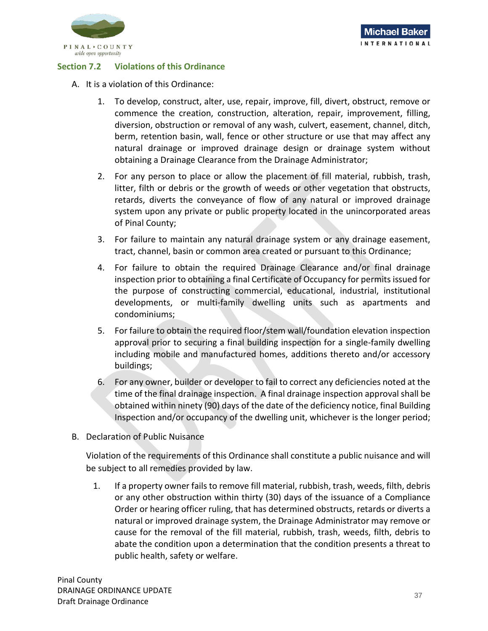

## <span id="page-38-0"></span>**Section 7.2 Violations of this Ordinance**

- A. It is a violation of this Ordinance:
	- 1. To develop, construct, alter, use, repair, improve, fill, divert, obstruct, remove or commence the creation, construction, alteration, repair, improvement, filling, diversion, obstruction or removal of any wash, culvert, easement, channel, ditch, berm, retention basin, wall, fence or other structure or use that may affect any natural drainage or improved drainage design or drainage system without obtaining a Drainage Clearance from the Drainage Administrator;
	- 2. For any person to place or allow the placement of fill material, rubbish, trash, litter, filth or debris or the growth of weeds or other vegetation that obstructs, retards, diverts the conveyance of flow of any natural or improved drainage system upon any private or public property located in the unincorporated areas of Pinal County;
	- 3. For failure to maintain any natural drainage system or any drainage easement, tract, channel, basin or common area created or pursuant to this Ordinance;
	- 4. For failure to obtain the required Drainage Clearance and/or final drainage inspection prior to obtaining a final Certificate of Occupancy for permits issued for the purpose of constructing commercial, educational, industrial, institutional developments, or multi-family dwelling units such as apartments and condominiums;
	- 5. For failure to obtain the required floor/stem wall/foundation elevation inspection approval prior to securing a final building inspection for a single-family dwelling including mobile and manufactured homes, additions thereto and/or accessory buildings;
	- 6. For any owner, builder or developer to fail to correct any deficiencies noted at the time of the final drainage inspection. A final drainage inspection approval shall be obtained within ninety (90) days of the date of the deficiency notice, final Building Inspection and/or occupancy of the dwelling unit, whichever is the longer period;
- B. Declaration of Public Nuisance

Violation of the requirements of this Ordinance shall constitute a public nuisance and will be subject to all remedies provided by law.

1. If a property owner fails to remove fill material, rubbish, trash, weeds, filth, debris or any other obstruction within thirty (30) days of the issuance of a Compliance Order or hearing officer ruling, that has determined obstructs, retards or diverts a natural or improved drainage system, the Drainage Administrator may remove or cause for the removal of the fill material, rubbish, trash, weeds, filth, debris to abate the condition upon a determination that the condition presents a threat to public health, safety or welfare.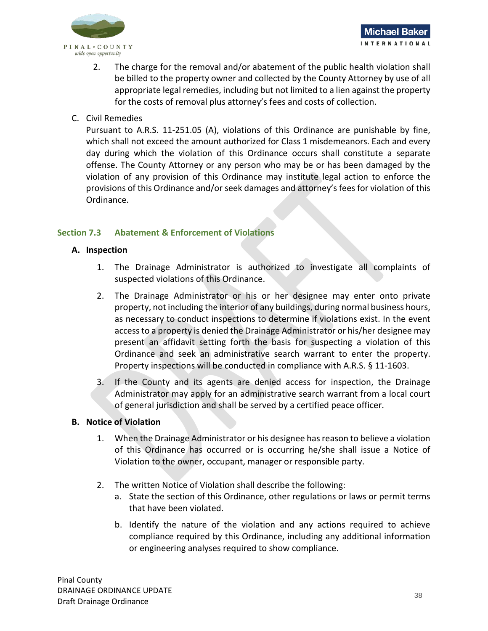

- 2. The charge for the removal and/or abatement of the public health violation shall be billed to the property owner and collected by the County Attorney by use of all appropriate legal remedies, including but not limited to a lien against the property for the costs of removal plus attorney's fees and costs of collection.
- C. Civil Remedies

Pursuant to A.R.S. 11-251.05 (A), violations of this Ordinance are punishable by fine, which shall not exceed the amount authorized for Class 1 misdemeanors. Each and every day during which the violation of this Ordinance occurs shall constitute a separate offense. The County Attorney or any person who may be or has been damaged by the violation of any provision of this Ordinance may institute legal action to enforce the provisions of this Ordinance and/or seek damages and attorney's fees for violation of this Ordinance.

## <span id="page-39-0"></span>**Section 7.3 Abatement & Enforcement of Violations**

## **A. Inspection**

- 1. The Drainage Administrator is authorized to investigate all complaints of suspected violations of this Ordinance.
- 2. The Drainage Administrator or his or her designee may enter onto private property, not including the interior of any buildings, during normal business hours, as necessary to conduct inspections to determine if violations exist. In the event access to a property is denied the Drainage Administrator or his/her designee may present an affidavit setting forth the basis for suspecting a violation of this Ordinance and seek an administrative search warrant to enter the property. Property inspections will be conducted in compliance with A.R.S. § 11-1603.
- 3. If the County and its agents are denied access for inspection, the Drainage Administrator may apply for an administrative search warrant from a local court of general jurisdiction and shall be served by a certified peace officer.

#### **B. Notice of Violation**

- 1. When the Drainage Administrator or his designee has reason to believe a violation of this Ordinance has occurred or is occurring he/she shall issue a Notice of Violation to the owner, occupant, manager or responsible party.
- 2. The written Notice of Violation shall describe the following:
	- a. State the section of this Ordinance, other regulations or laws or permit terms that have been violated.
	- b. Identify the nature of the violation and any actions required to achieve compliance required by this Ordinance, including any additional information or engineering analyses required to show compliance.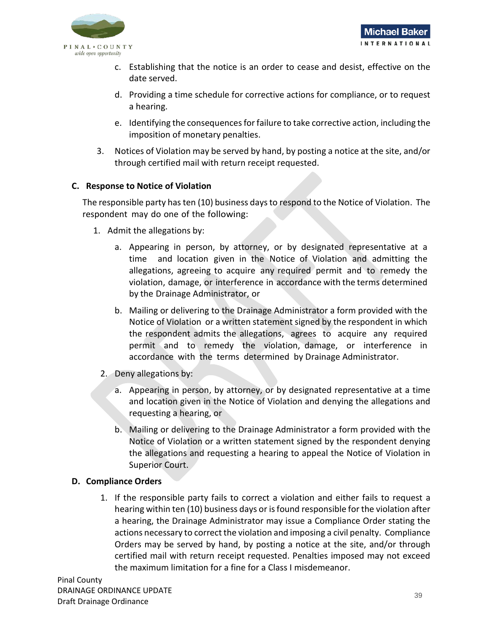

- c. Establishing that the notice is an order to cease and desist, effective on the date served.
- d. Providing a time schedule for corrective actions for compliance, or to request a hearing.
- e. Identifying the consequences for failure to take corrective action, including the imposition of monetary penalties.
- 3. Notices of Violation may be served by hand, by posting a notice at the site, and/or through certified mail with return receipt requested.

## **C. Response to Notice of Violation**

The responsible party has ten (10) business days to respond to the Notice of Violation. The respondent may do one of the following:

- 1. Admit the allegations by:
	- a. Appearing in person, by attorney, or by designated representative at a time and location given in the Notice of Violation and admitting the allegations, agreeing to acquire any required permit and to remedy the violation, damage, or interference in accordance with the terms determined by the Drainage Administrator, or
	- b. Mailing or delivering to the Drainage Administrator a form provided with the Notice of Violation or a written statement signed by the respondent in which the respondent admits the allegations, agrees to acquire any required permit and to remedy the violation, damage, or interference in accordance with the terms determined by Drainage Administrator.
	- 2. Deny allegations by:
		- a. Appearing in person, by attorney, or by designated representative at a time and location given in the Notice of Violation and denying the allegations and requesting a hearing, or
		- b. Mailing or delivering to the Drainage Administrator a form provided with the Notice of Violation or a written statement signed by the respondent denying the allegations and requesting a hearing to appeal the Notice of Violation in Superior Court.

## **D. Compliance Orders**

1. If the responsible party fails to correct a violation and either fails to request a hearing within ten (10) business days or is found responsible for the violation after a hearing, the Drainage Administrator may issue a Compliance Order stating the actions necessary to correct the violation and imposing a civil penalty. Compliance Orders may be served by hand, by posting a notice at the site, and/or through certified mail with return receipt requested. Penalties imposed may not exceed the maximum limitation for a fine for a Class I misdemeanor.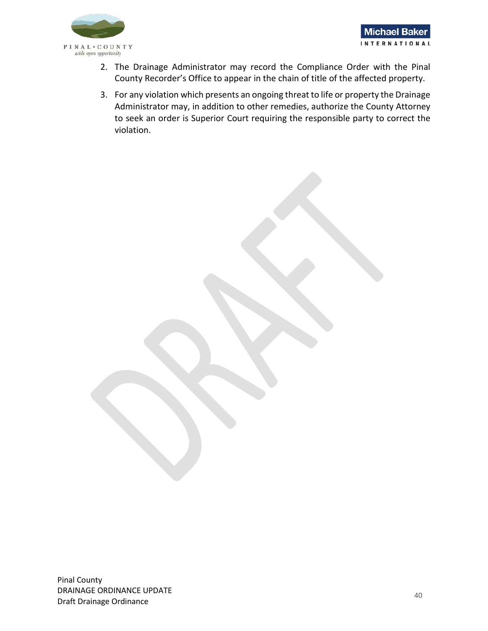

- 2. The Drainage Administrator may record the Compliance Order with the Pinal County Recorder's Office to appear in the chain of title of the affected property.
- 3. For any violation which presents an ongoing threat to life or property the Drainage Administrator may, in addition to other remedies, authorize the County Attorney to seek an order is Superior Court requiring the responsible party to correct the violation.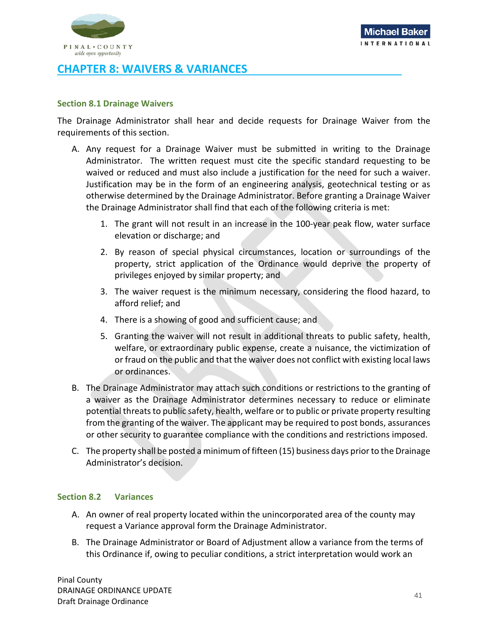

## <span id="page-42-0"></span>**CHAPTER 8: WAIVERS & VARIANCES**

#### <span id="page-42-1"></span>**Section 8.1 Drainage Waivers**

The Drainage Administrator shall hear and decide requests for Drainage Waiver from the requirements of this section.

- A. Any request for a Drainage Waiver must be submitted in writing to the Drainage Administrator. The written request must cite the specific standard requesting to be waived or reduced and must also include a justification for the need for such a waiver. Justification may be in the form of an engineering analysis, geotechnical testing or as otherwise determined by the Drainage Administrator. Before granting a Drainage Waiver the Drainage Administrator shall find that each of the following criteria is met:
	- 1. The grant will not result in an increase in the 100-year peak flow, water surface elevation or discharge; and
	- 2. By reason of special physical circumstances, location or surroundings of the property, strict application of the Ordinance would deprive the property of privileges enjoyed by similar property; and
	- 3. The waiver request is the minimum necessary, considering the flood hazard, to afford relief; and
	- 4. There is a showing of good and sufficient cause; and
	- 5. Granting the waiver will not result in additional threats to public safety, health, welfare, or extraordinary public expense, create a nuisance, the victimization of or fraud on the public and that the waiver does not conflict with existing local laws or ordinances.
- B. The Drainage Administrator may attach such conditions or restrictions to the granting of a waiver as the Drainage Administrator determines necessary to reduce or eliminate potential threats to public safety, health, welfare or to public or private property resulting from the granting of the waiver. The applicant may be required to post bonds, assurances or other security to guarantee compliance with the conditions and restrictions imposed.
- C. The property shall be posted a minimum of fifteen (15) business days prior to the Drainage Administrator's decision.

#### <span id="page-42-2"></span>**Section 8.2 Variances**

- A. An owner of real property located within the unincorporated area of the county may request a Variance approval form the Drainage Administrator.
- B. The Drainage Administrator or Board of Adjustment allow a variance from the terms of this Ordinance if, owing to peculiar conditions, a strict interpretation would work an